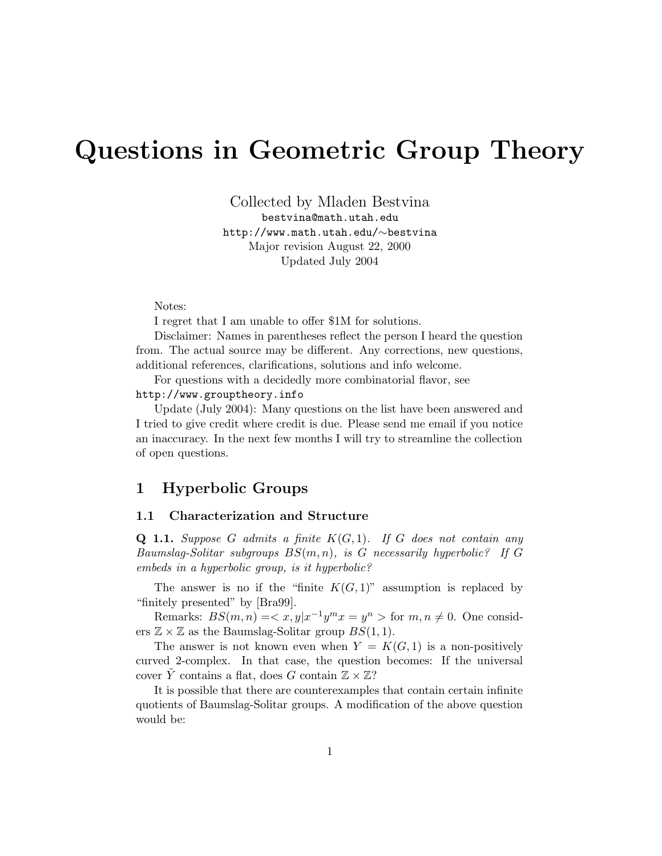# Questions in Geometric Group Theory

Collected by Mladen Bestvina bestvina@math.utah.edu http://www.math.utah.edu/∼bestvina Major revision August 22, 2000 Updated July 2004

Notes:

I regret that I am unable to offer \$1M for solutions.

Disclaimer: Names in parentheses reflect the person I heard the question from. The actual source may be different. Any corrections, new questions, additional references, clarifications, solutions and info welcome.

For questions with a decidedly more combinatorial flavor, see http://www.grouptheory.info

Update (July 2004): Many questions on the list have been answered and I tried to give credit where credit is due. Please send me email if you notice an inaccuracy. In the next few months I will try to streamline the collection of open questions.

### 1 Hyperbolic Groups

#### 1.1 Characterization and Structure

**Q 1.1.** Suppose G admits a finite  $K(G, 1)$ . If G does not contain any Baumslag-Solitar subgroups  $BS(m, n)$ , is G necessarily hyperbolic? If G embeds in a hyperbolic group, is it hyperbolic?

The answer is no if the "finite  $K(G, 1)$ " assumption is replaced by "finitely presented" by [Bra99].

Remarks:  $BS(m, n) = \langle x, y | x^{-1} y^m x = y^n \rangle$  for  $m, n \neq 0$ . One considers  $\mathbb{Z} \times \mathbb{Z}$  as the Baumslag-Solitar group  $BS(1, 1)$ .

The answer is not known even when  $Y = K(G, 1)$  is a non-positively curved 2-complex. In that case, the question becomes: If the universal cover Y contains a flat, does G contain  $\mathbb{Z} \times \mathbb{Z}$ ?

It is possible that there are counterexamples that contain certain infinite quotients of Baumslag-Solitar groups. A modification of the above question would be: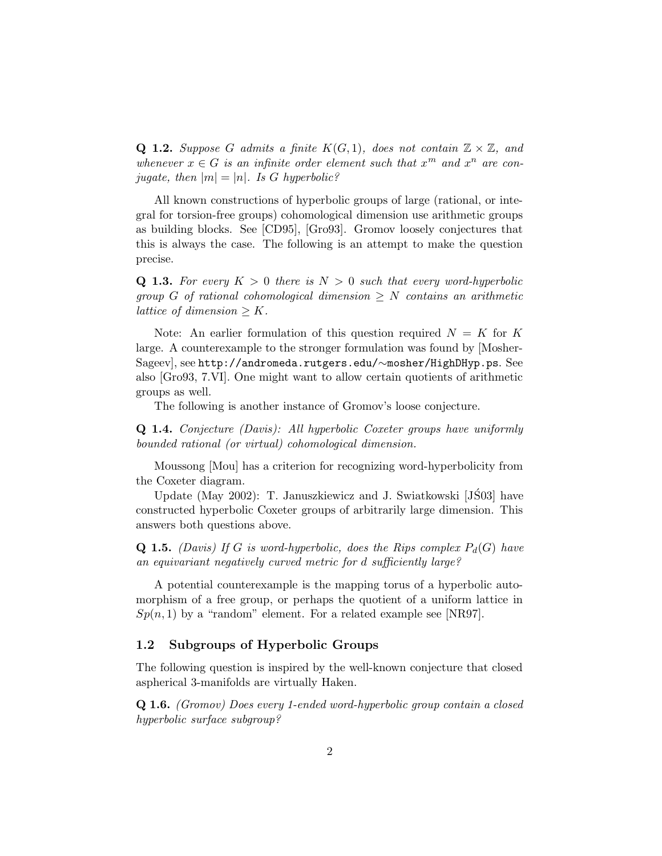**Q 1.2.** Suppose G admits a finite  $K(G, 1)$ , does not contain  $\mathbb{Z} \times \mathbb{Z}$ , and whenever  $x \in G$  is an infinite order element such that  $x^m$  and  $x^n$  are conjugate, then  $|m| = |n|$ . Is G hyperbolic?

All known constructions of hyperbolic groups of large (rational, or integral for torsion-free groups) cohomological dimension use arithmetic groups as building blocks. See [CD95], [Gro93]. Gromov loosely conjectures that this is always the case. The following is an attempt to make the question precise.

**Q 1.3.** For every  $K > 0$  there is  $N > 0$  such that every word-hyperbolic group G of rational cohomological dimension  $\geq N$  contains an arithmetic lattice of dimension  $\geq K$ .

Note: An earlier formulation of this question required  $N = K$  for K large. A counterexample to the stronger formulation was found by [Mosher-Sageev], see http://andromeda.rutgers.edu/∼mosher/HighDHyp.ps. See also [Gro93, 7.VI]. One might want to allow certain quotients of arithmetic groups as well.

The following is another instance of Gromov's loose conjecture.

Q 1.4. Conjecture (Davis): All hyperbolic Coxeter groups have uniformly bounded rational (or virtual) cohomological dimension.

Moussong [Mou] has a criterion for recognizing word-hyperbolicity from the Coxeter diagram.

Update (May 2002): T. Januszkiewicz and J. Swiatkowski  $[JSS03]$  have constructed hyperbolic Coxeter groups of arbitrarily large dimension. This answers both questions above.

**Q 1.5.** (Davis) If G is word-hyperbolic, does the Rips complex  $P_d(G)$  have an equivariant negatively curved metric for d sufficiently large?

A potential counterexample is the mapping torus of a hyperbolic automorphism of a free group, or perhaps the quotient of a uniform lattice in  $Sp(n, 1)$  by a "random" element. For a related example see [NR97].

#### 1.2 Subgroups of Hyperbolic Groups

The following question is inspired by the well-known conjecture that closed aspherical 3-manifolds are virtually Haken.

Q 1.6. (Gromov) Does every 1-ended word-hyperbolic group contain a closed hyperbolic surface subgroup?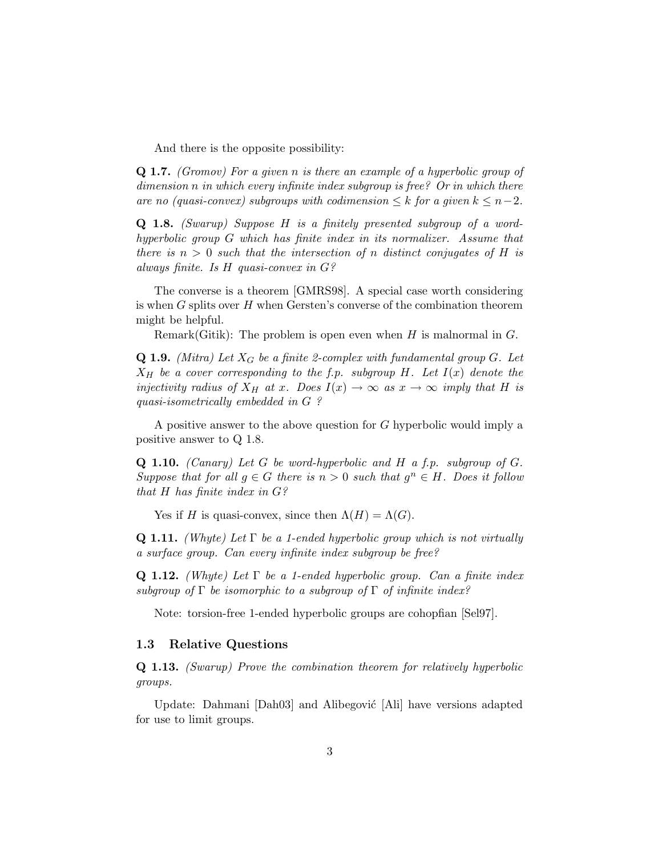And there is the opposite possibility:

Q 1.7. (Gromov) For a given n is there an example of a hyperbolic group of dimension n in which every infinite index subgroup is free? Or in which there are no (quasi-convex) subgroups with codimension  $\leq k$  for a given  $k \leq n-2$ .

Q 1.8. (Swarup) Suppose H is a finitely presented subgroup of a wordhyperbolic group G which has finite index in its normalizer. Assume that there is  $n > 0$  such that the intersection of n distinct conjugates of H is always finite. Is H quasi-convex in G?

The converse is a theorem [GMRS98]. A special case worth considering is when  $G$  splits over  $H$  when Gersten's converse of the combination theorem might be helpful.

Remark(Gitik): The problem is open even when  $H$  is malnormal in  $G$ .

**Q 1.9.** (Mitra) Let  $X_G$  be a finite 2-complex with fundamental group G. Let  $X_H$  be a cover corresponding to the f.p. subgroup H. Let  $I(x)$  denote the injectivity radius of  $X_H$  at x. Does  $I(x) \to \infty$  as  $x \to \infty$  imply that H is quasi-isometrically embedded in G ?

A positive answer to the above question for G hyperbolic would imply a positive answer to Q 1.8.

**Q 1.10.** (Canary) Let G be word-hyperbolic and H a f.p. subgroup of  $G$ . Suppose that for all  $g \in G$  there is  $n > 0$  such that  $g^n \in H$ . Does it follow that H has finite index in  $G$ ?

Yes if H is quasi-convex, since then  $\Lambda(H) = \Lambda(G)$ .

**Q 1.11.** (Whyte) Let  $\Gamma$  be a 1-ended hyperbolic group which is not virtually a surface group. Can every infinite index subgroup be free?

**Q 1.12.** (Whyte) Let  $\Gamma$  be a 1-ended hyperbolic group. Can a finite index subgroup of  $\Gamma$  be isomorphic to a subgroup of  $\Gamma$  of infinite index?

Note: torsion-free 1-ended hyperbolic groups are cohopfian [Sel97].

#### 1.3 Relative Questions

Q 1.13. (Swarup) Prove the combination theorem for relatively hyperbolic groups.

Update: Dahmani [Dah03] and Alibegović [Ali] have versions adapted for use to limit groups.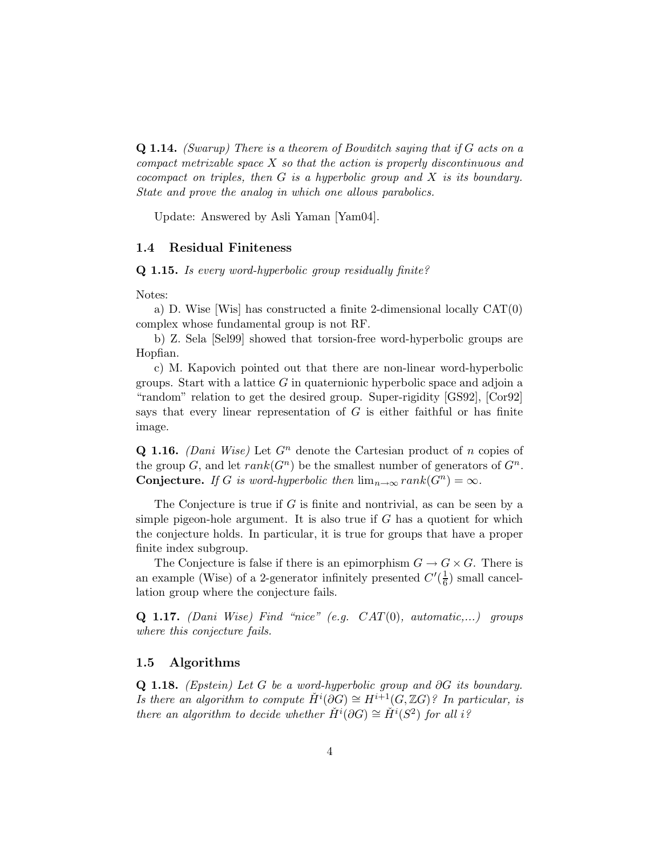**Q 1.14.** (Swarup) There is a theorem of Bowditch saying that if  $G$  acts on a compact metrizable space X so that the action is properly discontinuous and cocompact on triples, then  $G$  is a hyperbolic group and  $X$  is its boundary. State and prove the analog in which one allows parabolics.

Update: Answered by Asli Yaman [Yam04].

#### 1.4 Residual Finiteness

Q 1.15. Is every word-hyperbolic group residually finite?

#### Notes:

a) D. Wise [Wis] has constructed a finite 2-dimensional locally CAT(0) complex whose fundamental group is not RF.

b) Z. Sela [Sel99] showed that torsion-free word-hyperbolic groups are Hopfian.

c) M. Kapovich pointed out that there are non-linear word-hyperbolic groups. Start with a lattice  $G$  in quaternionic hyperbolic space and adjoin a "random" relation to get the desired group. Super-rigidity [GS92], [Cor92] says that every linear representation of  $G$  is either faithful or has finite image.

**Q 1.16.** (Dani Wise) Let  $G<sup>n</sup>$  denote the Cartesian product of n copies of the group G, and let  $rank(G^n)$  be the smallest number of generators of  $G^n$ . **Conjecture.** If G is word-hyperbolic then  $\lim_{n\to\infty} rank(G^n) = \infty$ .

The Conjecture is true if  $G$  is finite and nontrivial, as can be seen by a simple pigeon-hole argument. It is also true if  $G$  has a quotient for which the conjecture holds. In particular, it is true for groups that have a proper finite index subgroup.

The Conjecture is false if there is an epimorphism  $G \to G \times G$ . There is an example (Wise) of a 2-generator infinitely presented  $C'(\frac{1}{6})$  $\frac{1}{6}$ ) small cancellation group where the conjecture fails.

**Q 1.17.** (Dani Wise) Find "nice" (e.g.  $CAT(0)$ , automatic,...) groups where this conjecture fails.

#### 1.5 Algorithms

Q 1.18. (Epstein) Let G be a word-hyperbolic group and ∂G its boundary. Is there an algorithm to compute  $\check{H}^i(\partial G) \cong H^{i+1}(G,\mathbb{Z}G)$ ? In particular, is there an algorithm to decide whether  $\check{H}^i(\partial G) \cong \check{H}^i(S^2)$  for all i?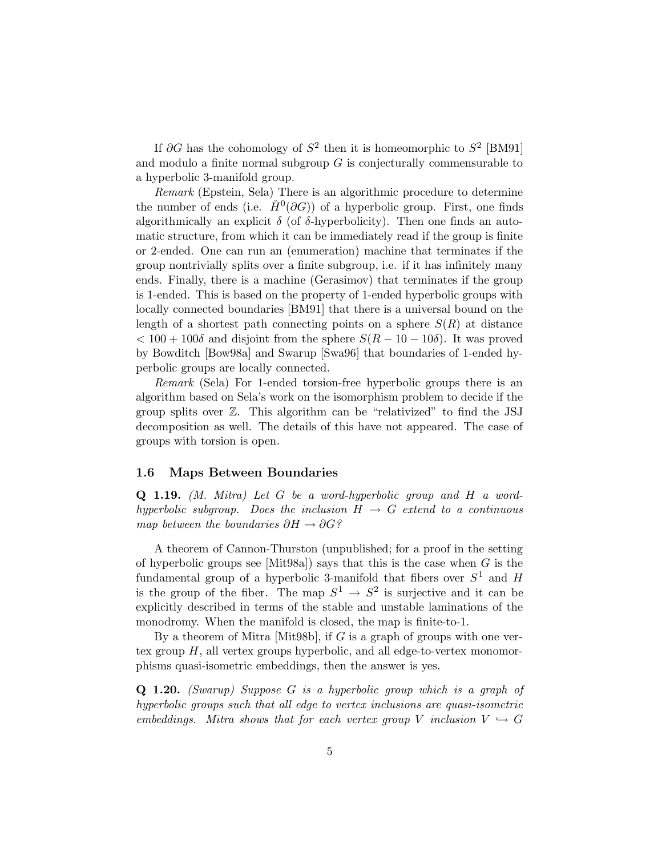If  $\partial G$  has the cohomology of  $S^2$  then it is homeomorphic to  $S^2$  [BM91] and modulo a finite normal subgroup  $G$  is conjecturally commensurable to a hyperbolic 3-manifold group.

Remark (Epstein, Sela) There is an algorithmic procedure to determine the number of ends (i.e.  $\check{H}^0(\partial G)$ ) of a hyperbolic group. First, one finds algorithmically an explicit  $\delta$  (of  $\delta$ -hyperbolicity). Then one finds an automatic structure, from which it can be immediately read if the group is finite or 2-ended. One can run an (enumeration) machine that terminates if the group nontrivially splits over a finite subgroup, i.e. if it has infinitely many ends. Finally, there is a machine (Gerasimov) that terminates if the group is 1-ended. This is based on the property of 1-ended hyperbolic groups with locally connected boundaries [BM91] that there is a universal bound on the length of a shortest path connecting points on a sphere  $S(R)$  at distance  $< 100 + 100\delta$  and disjoint from the sphere  $S(R - 10 - 10\delta)$ . It was proved by Bowditch [Bow98a] and Swarup [Swa96] that boundaries of 1-ended hyperbolic groups are locally connected.

Remark (Sela) For 1-ended torsion-free hyperbolic groups there is an algorithm based on Sela's work on the isomorphism problem to decide if the group splits over Z. This algorithm can be "relativized" to find the JSJ decomposition as well. The details of this have not appeared. The case of groups with torsion is open.

#### 1.6 Maps Between Boundaries

Q 1.19. (M. Mitra) Let G be a word-hyperbolic group and H a wordhyperbolic subgroup. Does the inclusion  $H \rightarrow G$  extend to a continuous map between the boundaries  $\partial H \to \partial G$ ?

A theorem of Cannon-Thurston (unpublished; for a proof in the setting of hyperbolic groups see [Mit98a]) says that this is the case when  $G$  is the fundamental group of a hyperbolic 3-manifold that fibers over  $S^1$  and H is the group of the fiber. The map  $S^1 \to S^2$  is surjective and it can be explicitly described in terms of the stable and unstable laminations of the monodromy. When the manifold is closed, the map is finite-to-1.

By a theorem of Mitra [Mit98b], if G is a graph of groups with one vertex group  $H$ , all vertex groups hyperbolic, and all edge-to-vertex monomorphisms quasi-isometric embeddings, then the answer is yes.

Q 1.20. (Swarup) Suppose G is a hyperbolic group which is a graph of hyperbolic groups such that all edge to vertex inclusions are quasi-isometric embeddings. Mitra shows that for each vertex group V inclusion  $V \hookrightarrow G$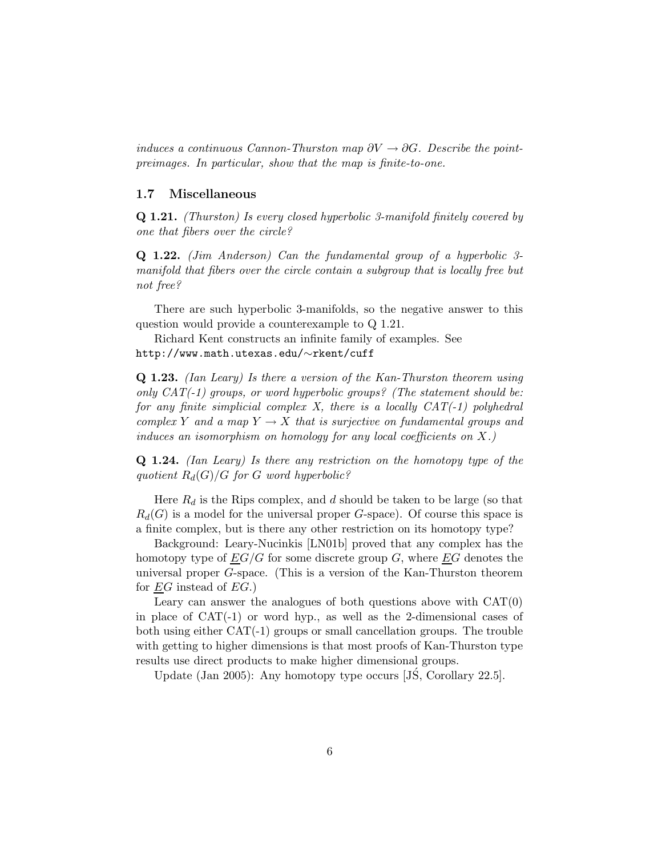induces a continuous Cannon-Thurston map  $\partial V \to \partial G$ . Describe the pointpreimages. In particular, show that the map is finite-to-one.

#### 1.7 Miscellaneous

Q 1.21. (Thurston) Is every closed hyperbolic 3-manifold finitely covered by one that fibers over the circle?

Q 1.22. (Jim Anderson) Can the fundamental group of a hyperbolic 3 manifold that fibers over the circle contain a subgroup that is locally free but not free?

There are such hyperbolic 3-manifolds, so the negative answer to this question would provide a counterexample to Q 1.21.

Richard Kent constructs an infinite family of examples. See http://www.math.utexas.edu/∼rkent/cuff

Q 1.23. (Ian Leary) Is there a version of the Kan-Thurston theorem using only  $CAT(-1)$  groups, or word hyperbolic groups? (The statement should be: for any finite simplicial complex X, there is a locally  $CAT(-1)$  polyhedral complex Y and a map  $Y \to X$  that is surjective on fundamental groups and induces an isomorphism on homology for any local coefficients on  $X$ .)

Q 1.24. (Ian Leary) Is there any restriction on the homotopy type of the quotient  $R_d(G)/G$  for G word hyperbolic?

Here  $R_d$  is the Rips complex, and d should be taken to be large (so that  $R_d(G)$  is a model for the universal proper G-space). Of course this space is a finite complex, but is there any other restriction on its homotopy type?

Background: Leary-Nucinkis [LN01b] proved that any complex has the homotopy type of  $EG/G$  for some discrete group G, where  $EG$  denotes the universal proper G-space. (This is a version of the Kan-Thurston theorem for  $EG$  instead of  $EG$ .)

Leary can answer the analogues of both questions above with  $CAT(0)$ in place of CAT(-1) or word hyp., as well as the 2-dimensional cases of both using either CAT(-1) groups or small cancellation groups. The trouble with getting to higher dimensions is that most proofs of Kan-Thurston type results use direct products to make higher dimensional groups.

Update (Jan 2005): Any homotopy type occurs  $[JS, Corollary 22.5].$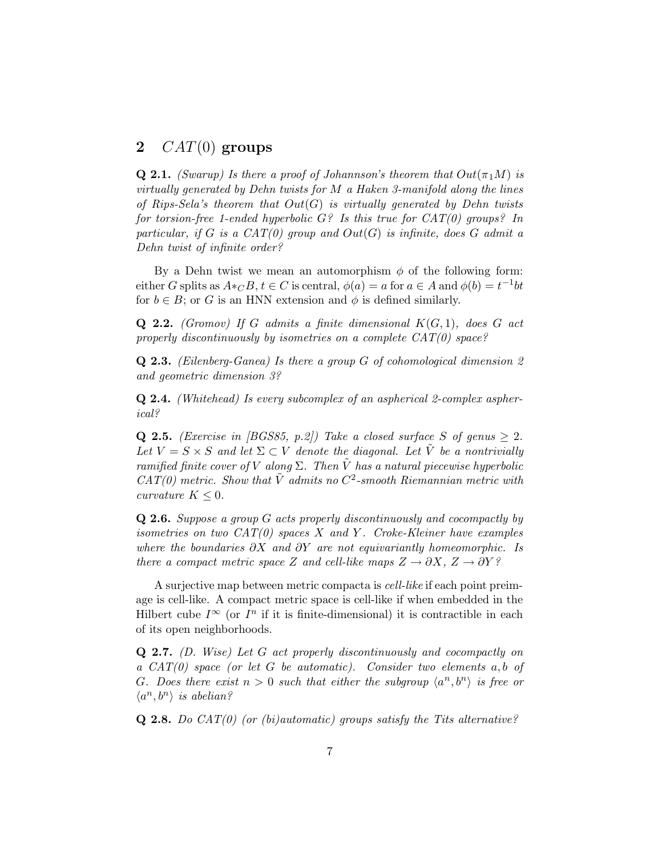### 2  $CAT(0)$  groups

**Q 2.1.** (Swarup) Is there a proof of Johannson's theorem that  $Out(\pi_1 M)$  is virtually generated by Dehn twists for  $M$  a Haken 3-manifold along the lines of Rips-Sela's theorem that  $Out(G)$  is virtually generated by Dehn twists for torsion-free 1-ended hyperbolic  $G$ ? Is this true for  $CAT(0)$  groups? In particular, if G is a  $CAT(0)$  group and  $Out(G)$  is infinite, does G admit a Dehn twist of infinite order?

By a Dehn twist we mean an automorphism  $\phi$  of the following form: either G splits as  $A *_{\mathbb{C}} B$ ,  $t \in \mathbb{C}$  is central,  $\phi(a) = a$  for  $a \in \mathbb{A}$  and  $\phi(b) = t^{-1}bt$ for  $b \in B$ ; or G is an HNN extension and  $\phi$  is defined similarly.

**Q 2.2.** (Gromov) If G admits a finite dimensional  $K(G, 1)$ , does G act properly discontinuously by isometries on a complete  $CAT(0)$  space?

Q 2.3. (Eilenberg-Ganea) Is there a group G of cohomological dimension 2 and geometric dimension 3?

Q 2.4. (Whitehead) Is every subcomplex of an aspherical 2-complex aspherical?

**Q 2.5.** (Exercise in [BGS85, p.2]) Take a closed surface S of genus  $\geq 2$ . Let  $V = S \times S$  and let  $\Sigma \subset V$  denote the diagonal. Let  $\tilde{V}$  be a nontrivially ramified finite cover of V along  $\Sigma$ . Then V has a natural piecewise hyperbolic  $CAT(0)$  metric. Show that  $\tilde{V}$  admits no  $C^2$ -smooth Riemannian metric with curvature  $K \leq 0$ .

Q 2.6. Suppose a group G acts properly discontinuously and cocompactly by isometries on two  $CAT(0)$  spaces X and Y. Croke-Kleiner have examples where the boundaries  $\partial X$  and  $\partial Y$  are not equivariantly homeomorphic. Is there a compact metric space Z and cell-like maps  $Z \to \partial X$ ,  $Z \to \partial Y$ ?

A surjective map between metric compacta is cell-like if each point preimage is cell-like. A compact metric space is cell-like if when embedded in the Hilbert cube  $I^{\infty}$  (or  $I^{n}$  if it is finite-dimensional) it is contractible in each of its open neighborhoods.

 $Q$  2.7. (D. Wise) Let G act properly discontinuously and cocompactly on a  $CAT(0)$  space (or let G be automatic). Consider two elements a, b of G. Does there exist  $n > 0$  such that either the subgroup  $\langle a^n, b^n \rangle$  is free or  $\langle a^n, b^n \rangle$  is abelian?

**Q 2.8.** Do  $CAT(0)$  (or (bi)automatic) groups satisfy the Tits alternative?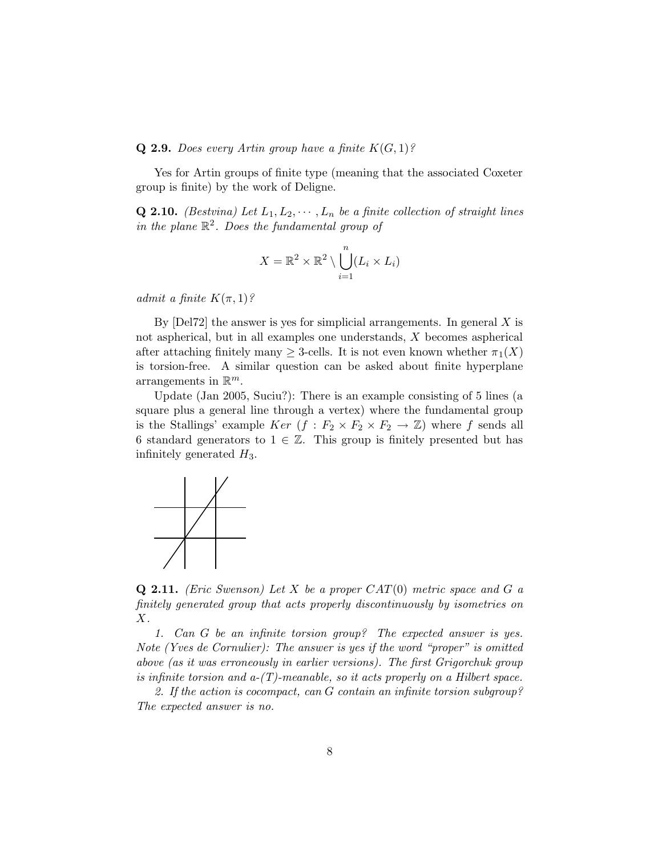#### **Q 2.9.** Does every Artin group have a finite  $K(G, 1)$ ?

Yes for Artin groups of finite type (meaning that the associated Coxeter group is finite) by the work of Deligne.

**Q 2.10.** (Bestvina) Let  $L_1, L_2, \cdots, L_n$  be a finite collection of straight lines in the plane  $\mathbb{R}^2$ . Does the fundamental group of

$$
X = \mathbb{R}^2 \times \mathbb{R}^2 \setminus \bigcup_{i=1}^n (L_i \times L_i)
$$

admit a finite  $K(\pi,1)$ ?

By  $[Del72]$  the answer is yes for simplicial arrangements. In general X is not aspherical, but in all examples one understands, X becomes aspherical after attaching finitely many  $\geq$  3-cells. It is not even known whether  $\pi_1(X)$ is torsion-free. A similar question can be asked about finite hyperplane arrangements in  $\mathbb{R}^m$ .

Update (Jan 2005, Suciu?): There is an example consisting of 5 lines (a square plus a general line through a vertex) where the fundamental group is the Stallings' example  $Ker$   $(f : F_2 \times F_2 \times F_2 \to \mathbb{Z})$  where f sends all 6 standard generators to  $1 \in \mathbb{Z}$ . This group is finitely presented but has infinitely generated  $H_3$ .



**Q 2.11.** (Eric Swenson) Let X be a proper  $CAT(0)$  metric space and G a finitely generated group that acts properly discontinuously by isometries on X.

1. Can G be an infinite torsion group? The expected answer is yes. Note (Yves de Cornulier): The answer is yes if the word "proper" is omitted above (as it was erroneously in earlier versions). The first Grigorchuk group is infinite torsion and  $a-(T)$ -meanable, so it acts properly on a Hilbert space.

2. If the action is cocompact, can G contain an infinite torsion subgroup? The expected answer is no.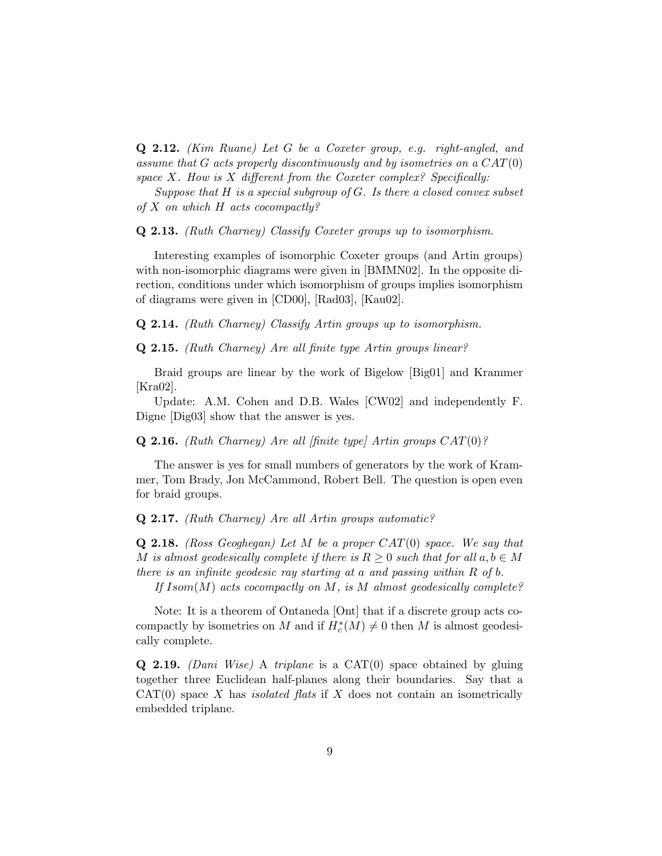Q 2.12. (Kim Ruane) Let G be a Coxeter group, e.g. right-angled, and assume that G acts properly discontinuously and by isometries on a  $CAT(0)$ space  $X$ . How is  $X$  different from the Coxeter complex? Specifically:

Suppose that  $H$  is a special subgroup of  $G$ . Is there a closed convex subset of  $X$  on which  $H$  acts cocompactly?

#### Q 2.13. (Ruth Charney) Classify Coxeter groups up to isomorphism.

Interesting examples of isomorphic Coxeter groups (and Artin groups) with non-isomorphic diagrams were given in [BMMN02]. In the opposite direction, conditions under which isomorphism of groups implies isomorphism of diagrams were given in [CD00], [Rad03], [Kau02].

Q 2.14. (Ruth Charney) Classify Artin groups up to isomorphism.

Q 2.15. (Ruth Charney) Are all finite type Artin groups linear?

Braid groups are linear by the work of Bigelow [Big01] and Krammer [Kra02].

Update: A.M. Cohen and D.B. Wales [CW02] and independently F. Digne [Dig03] show that the answer is yes.

**Q 2.16.** (Ruth Charney) Are all [finite type] Artin groups  $CAT(0)$ ?

The answer is yes for small numbers of generators by the work of Krammer, Tom Brady, Jon McCammond, Robert Bell. The question is open even for braid groups.

Q 2.17. (Ruth Charney) Are all Artin groups automatic?

**Q 2.18.** (Ross Geoghegan) Let M be a proper  $CAT(0)$  space. We say that M is almost geodesically complete if there is  $R \geq 0$  such that for all  $a, b \in M$ there is an infinite geodesic ray starting at a and passing within R of b.

If  $Isom(M)$  acts cocompactly on M, is M almost geodesically complete?

Note: It is a theorem of Ontaneda [Ont] that if a discrete group acts cocompactly by isometries on M and if  $H_c^*(M) \neq 0$  then M is almost geodesically complete.

**Q 2.19.** (Dani Wise) A triplane is a CAT $(0)$  space obtained by gluing together three Euclidean half-planes along their boundaries. Say that a  $CAT(0)$  space X has *isolated flats* if X does not contain an isometrically embedded triplane.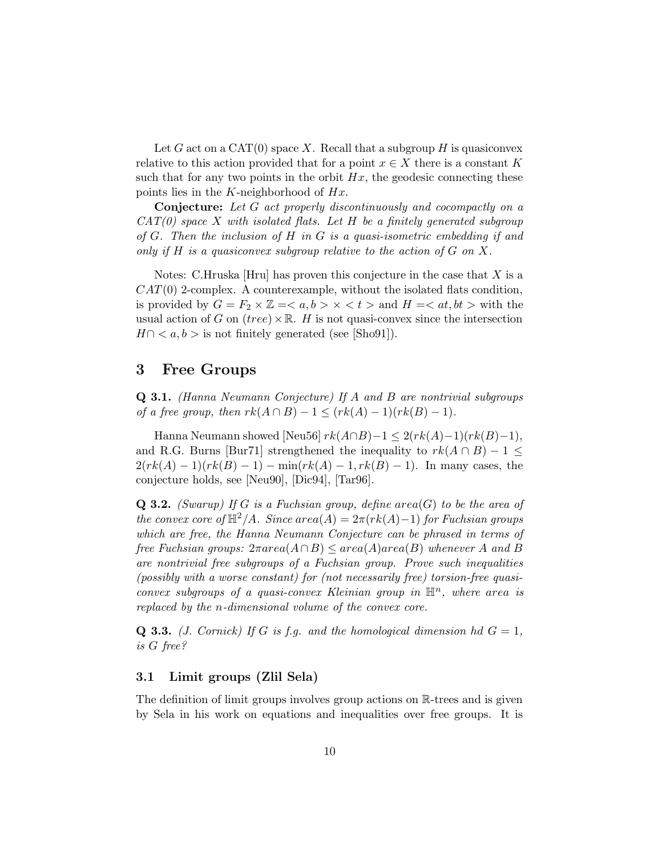Let G act on a CAT $(0)$  space X. Recall that a subgroup H is quasiconvex relative to this action provided that for a point  $x \in X$  there is a constant K such that for any two points in the orbit  $Hx$ , the geodesic connecting these points lies in the K-neighborhood of  $Hx$ .

Conjecture: Let G act properly discontinuously and cocompactly on a  $CAT(0)$  space X with isolated flats. Let H be a finitely generated subgroup of  $G$ . Then the inclusion of  $H$  in  $G$  is a quasi-isometric embedding if and only if H is a quasiconvex subgroup relative to the action of  $G$  on X.

Notes: C.Hruska [Hru] has proven this conjecture in the case that  $X$  is a  $CAT(0)$  2-complex. A counterexample, without the isolated flats condition, is provided by  $G = F_2 \times \mathbb{Z} = \langle a, b \rangle \times \langle t \rangle$  and  $H = \langle at, bt \rangle$  with the usual action of G on  $(tree) \times \mathbb{R}$ . H is not quasi-convex since the intersection  $H \cap \langle a, b \rangle$  is not finitely generated (see [Sho91]).

### 3 Free Groups

Q 3.1. (Hanna Neumann Conjecture) If A and B are nontrivial subgroups of a free group, then  $rk(A \cap B) - 1 \leq (rk(A) - 1)(rk(B) - 1)$ .

Hanna Neumann showed [Neu56]  $rk(A \cap B)-1 \leq 2(rk(A)-1)(rk(B)-1),$ and R.G. Burns [Bur71] strengthened the inequality to  $rk(A \cap B) - 1 \leq$  $2(rk(A) - 1)(rk(B) - 1) - \min(rk(A) - 1, rk(B) - 1)$ . In many cases, the conjecture holds, see [Neu90], [Dic94], [Tar96].

**Q 3.2.** (Swarup) If G is a Fuchsian group, define area(G) to be the area of the convex core of  $\mathbb{H}^2/A$ . Since area(A) =  $2\pi(rk(A)-1)$  for Fuchsian groups which are free, the Hanna Neumann Conjecture can be phrased in terms of free Fuchsian groups:  $2\pi area(A \cap B) \leq area(A)area(B)$  whenever A and B are nontrivial free subgroups of a Fuchsian group. Prove such inequalities (possibly with a worse constant) for (not necessarily free) torsion-free quasiconvex subgroups of a quasi-convex Kleinian group in  $\mathbb{H}^n$ , where area is replaced by the n-dimensional volume of the convex core.

**Q 3.3.** (*J. Cornick*) If G is f.g. and the homological dimension hd  $G = 1$ , is G free?

#### 3.1 Limit groups (Zlil Sela)

The definition of limit groups involves group actions on R-trees and is given by Sela in his work on equations and inequalities over free groups. It is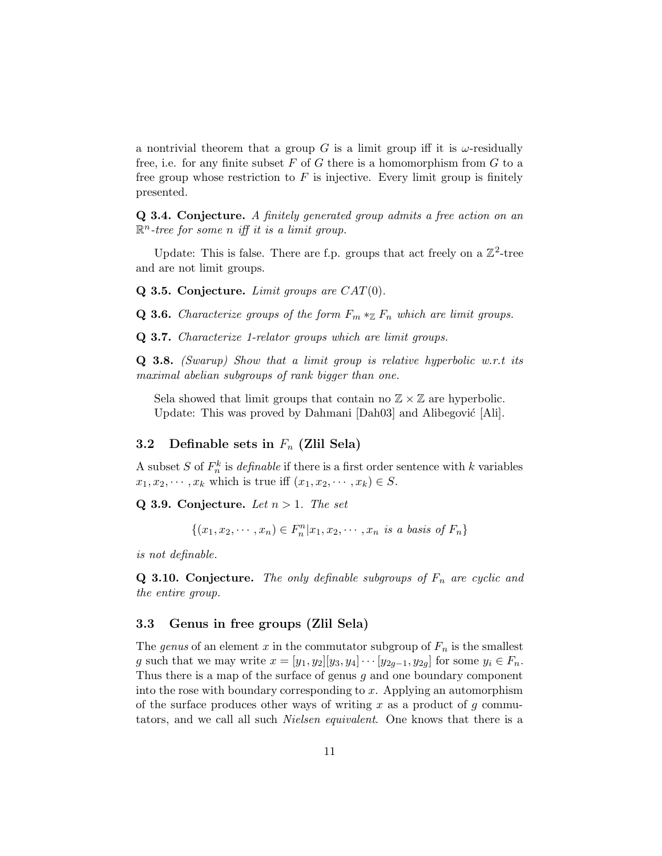a nontrivial theorem that a group G is a limit group iff it is  $\omega$ -residually free, i.e. for any finite subset  $F$  of  $G$  there is a homomorphism from  $G$  to a free group whose restriction to  $F$  is injective. Every limit group is finitely presented.

Q 3.4. Conjecture. A finitely generated group admits a free action on an  $\mathbb{R}^n$ -tree for some n iff it is a limit group.

Update: This is false. There are f.p. groups that act freely on a  $\mathbb{Z}^2$ -tree and are not limit groups.

Q 3.5. Conjecture. Limit groups are  $CAT(0)$ .

**Q 3.6.** Characterize groups of the form  $F_m *_{\mathbb{Z}} F_n$  which are limit groups.

Q 3.7. Characterize 1-relator groups which are limit groups.

**Q 3.8.** (Swarup) Show that a limit group is relative hyperbolic w.r.t its maximal abelian subgroups of rank bigger than one.

Sela showed that limit groups that contain no  $\mathbb{Z} \times \mathbb{Z}$  are hyperbolic. Update: This was proved by Dahmani [Dah03] and Alibegović [Ali].

#### 3.2 Definable sets in  $F_n$  (Zlil Sela)

A subset S of  $F_n^k$  is *definable* if there is a first order sentence with k variables  $x_1, x_2, \dots, x_k$  which is true iff  $(x_1, x_2, \dots, x_k) \in S$ .

Q 3.9. Conjecture. Let  $n > 1$ . The set

 $\{(x_1, x_2, \dots, x_n) \in F_n^n | x_1, x_2, \dots, x_n \text{ is a basis of } F_n\}$ 

is not definable.

**Q 3.10. Conjecture.** The only definable subgroups of  $F_n$  are cyclic and the entire group.

#### 3.3 Genus in free groups (Zlil Sela)

The genus of an element x in the commutator subgroup of  $F_n$  is the smallest g such that we may write  $x = [y_1, y_2][y_3, y_4] \cdots [y_{2g-1}, y_{2g}]$  for some  $y_i \in F_n$ . Thus there is a map of the surface of genus g and one boundary component into the rose with boundary corresponding to  $x$ . Applying an automorphism of the surface produces other ways of writing x as a product of  $g$  commutators, and we call all such *Nielsen equivalent*. One knows that there is a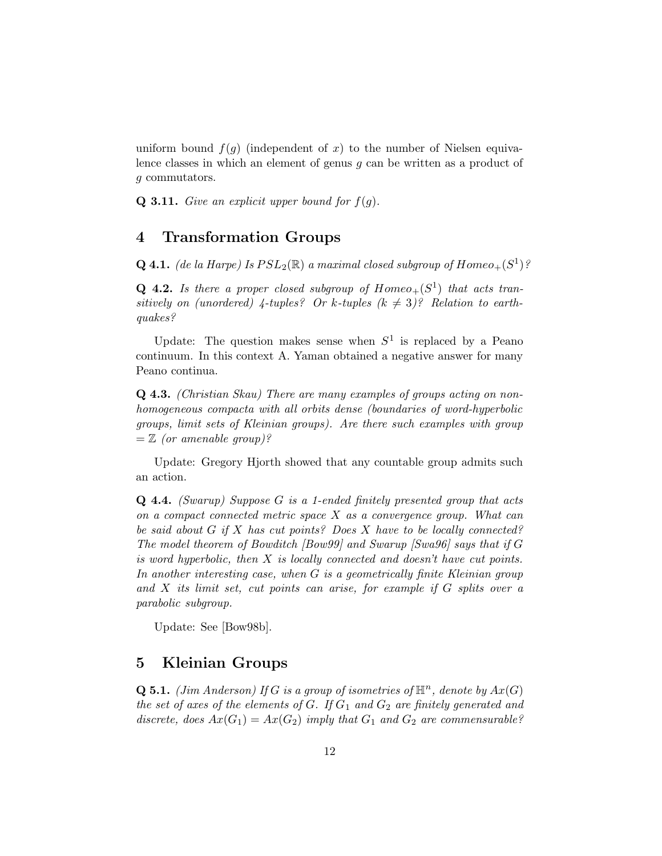uniform bound  $f(g)$  (independent of x) to the number of Nielsen equivalence classes in which an element of genus g can be written as a product of g commutators.

**Q 3.11.** Give an explicit upper bound for  $f(g)$ .

### 4 Transformation Groups

**Q 4.1.** (de la Harpe) Is  $PSL_2(\mathbb{R})$  a maximal closed subgroup of  $Homeo_+(S^1)$ ?

**Q 4.2.** Is there a proper closed subgroup of  $Homeo_+(S^1)$  that acts transitively on (unordered) 4-tuples? Or k-tuples  $(k \neq 3)$ ? Relation to earthquakes?

Update: The question makes sense when  $S^1$  is replaced by a Peano continuum. In this context A. Yaman obtained a negative answer for many Peano continua.

Q 4.3. (Christian Skau) There are many examples of groups acting on nonhomogeneous compacta with all orbits dense (boundaries of word-hyperbolic groups, limit sets of Kleinian groups). Are there such examples with group  $=\mathbb{Z}$  (or amenable group)?

Update: Gregory Hjorth showed that any countable group admits such an action.

Q 4.4. (Swarup) Suppose G is a 1-ended finitely presented group that acts on a compact connected metric space X as a convergence group. What can be said about  $G$  if  $X$  has cut points? Does  $X$  have to be locally connected? The model theorem of Bowditch [Bow99] and Swarup [Swa96] says that if G is word hyperbolic, then  $X$  is locally connected and doesn't have cut points. In another interesting case, when G is a geometrically finite Kleinian group and X its limit set, cut points can arise, for example if G splits over a parabolic subgroup.

Update: See [Bow98b].

### 5 Kleinian Groups

**Q 5.1.** (Jim Anderson) If G is a group of isometries of  $\mathbb{H}^n$ , denote by  $Ax(G)$ the set of axes of the elements of G. If  $G_1$  and  $G_2$  are finitely generated and discrete, does  $Ax(G_1) = Ax(G_2)$  imply that  $G_1$  and  $G_2$  are commensurable?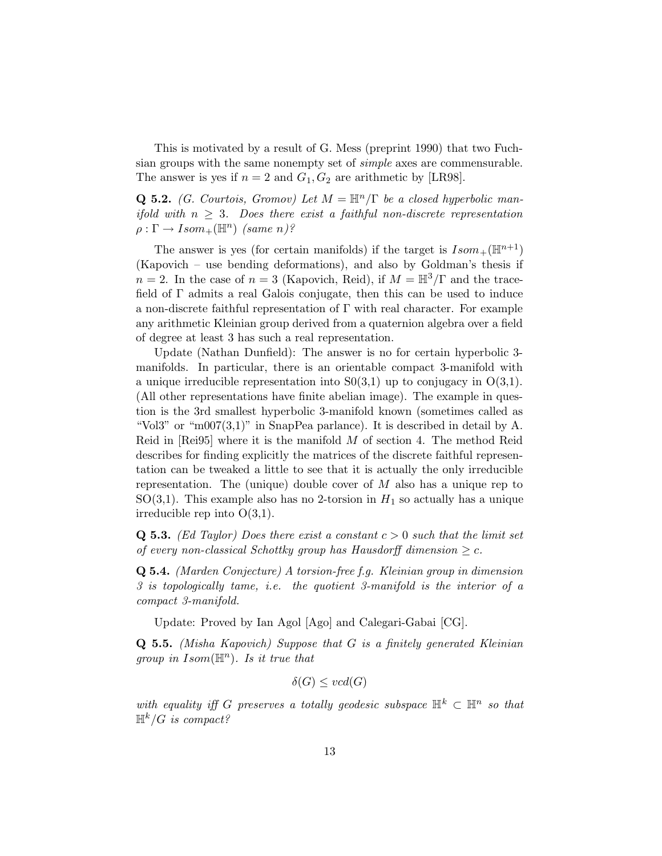This is motivated by a result of G. Mess (preprint 1990) that two Fuchsian groups with the same nonempty set of simple axes are commensurable. The answer is yes if  $n = 2$  and  $G_1, G_2$  are arithmetic by [LR98].

**Q 5.2.** (G. Courtois, Gromov) Let  $M = \mathbb{H}^n/\Gamma$  be a closed hyperbolic manifold with  $n \geq 3$ . Does there exist a faithful non-discrete representation  $\rho : \Gamma \to Isom_+({\mathbb{H}}^n)$  (same n)?

The answer is yes (for certain manifolds) if the target is  $Isom_+(\mathbb{H}^{n+1})$ (Kapovich – use bending deformations), and also by Goldman's thesis if  $n = 2$ . In the case of  $n = 3$  (Kapovich, Reid), if  $M = \mathbb{H}^3/\Gamma$  and the tracefield of Γ admits a real Galois conjugate, then this can be used to induce a non-discrete faithful representation of Γ with real character. For example any arithmetic Kleinian group derived from a quaternion algebra over a field of degree at least 3 has such a real representation.

Update (Nathan Dunfield): The answer is no for certain hyperbolic 3 manifolds. In particular, there is an orientable compact 3-manifold with a unique irreducible representation into  $S(0,1)$  up to conjugacy in  $O(3,1)$ . (All other representations have finite abelian image). The example in question is the 3rd smallest hyperbolic 3-manifold known (sometimes called as "Vol3" or "m007 $(3,1)$ " in SnapPea parlance). It is described in detail by A. Reid in  $[Rei95]$  where it is the manifold  $M$  of section 4. The method Reid describes for finding explicitly the matrices of the discrete faithful representation can be tweaked a little to see that it is actually the only irreducible representation. The (unique) double cover of  $M$  also has a unique rep to SO(3,1). This example also has no 2-torsion in  $H_1$  so actually has a unique irreducible rep into  $O(3,1)$ .

**Q 5.3.** (Ed Taylor) Does there exist a constant  $c > 0$  such that the limit set of every non-classical Schottky group has Hausdorff dimension  $\geq c$ .

Q 5.4. (Marden Conjecture) A torsion-free f.g. Kleinian group in dimension 3 is topologically tame, i.e. the quotient 3-manifold is the interior of a compact 3-manifold.

Update: Proved by Ian Agol [Ago] and Calegari-Gabai [CG].

Q 5.5. (Misha Kapovich) Suppose that G is a finitely generated Kleinian group in  $Isom(\mathbb{H}^n)$ . Is it true that

$$
\delta(G) \leq vcd(G)
$$

with equality iff G preserves a totally geodesic subspace  $\mathbb{H}^k \subset \mathbb{H}^n$  so that  $\mathbb{H}^k/G$  is compact?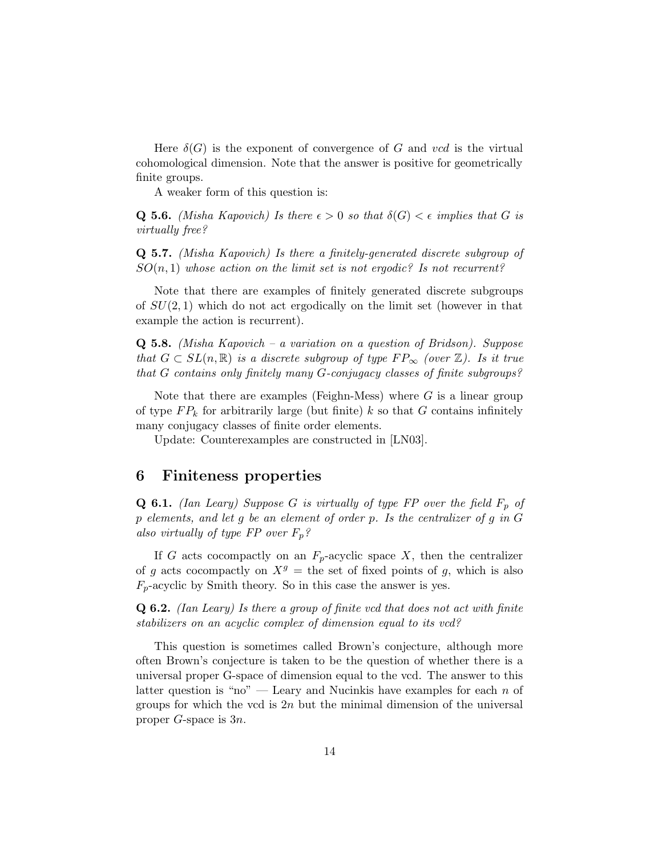Here  $\delta(G)$  is the exponent of convergence of G and vcd is the virtual cohomological dimension. Note that the answer is positive for geometrically finite groups.

A weaker form of this question is:

**Q 5.6.** (Misha Kapovich) Is there  $\epsilon > 0$  so that  $\delta(G) < \epsilon$  implies that G is virtually free?

Q 5.7. (Misha Kapovich) Is there a finitely-generated discrete subgroup of  $SO(n,1)$  whose action on the limit set is not ergodic? Is not recurrent?

Note that there are examples of finitely generated discrete subgroups of  $SU(2,1)$  which do not act ergodically on the limit set (however in that example the action is recurrent).

**Q 5.8.** (Misha Kapovich – a variation on a question of Bridson). Suppose that  $G \subset SL(n,\mathbb{R})$  is a discrete subgroup of type  $FP_{\infty}$  (over  $\mathbb{Z}$ ). Is it true that G contains only finitely many G-conjugacy classes of finite subgroups?

Note that there are examples (Feighn-Mess) where  $G$  is a linear group of type  $FP_k$  for arbitrarily large (but finite) k so that G contains infinitely many conjugacy classes of finite order elements.

Update: Counterexamples are constructed in [LN03].

#### 6 Finiteness properties

**Q 6.1.** (Ian Leary) Suppose G is virtually of type FP over the field  $F_p$  of p elements, and let g be an element of order p. Is the centralizer of g in G also virtually of type FP over  $F_p$ ?

If G acts cocompactly on an  $F_p$ -acyclic space X, then the centralizer of g acts cocompactly on  $X<sup>g</sup>$  = the set of fixed points of g, which is also  $F_p$ -acyclic by Smith theory. So in this case the answer is yes.

Q 6.2. (Ian Leary) Is there a group of finite vcd that does not act with finite stabilizers on an acyclic complex of dimension equal to its vcd?

This question is sometimes called Brown's conjecture, although more often Brown's conjecture is taken to be the question of whether there is a universal proper G-space of dimension equal to the vcd. The answer to this latter question is "no" — Leary and Nucinkis have examples for each  $n$  of groups for which the vcd is  $2n$  but the minimal dimension of the universal proper G-space is 3n.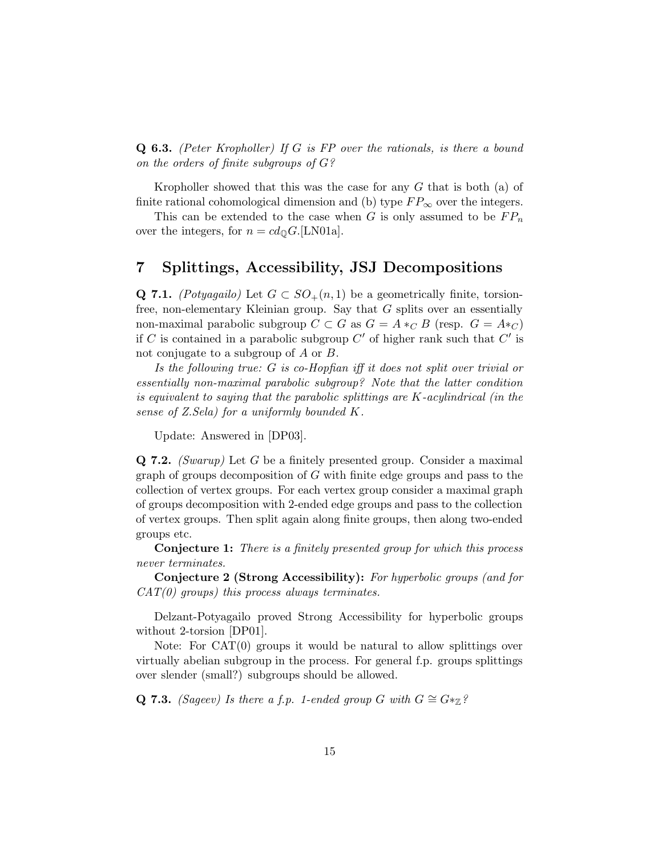Q 6.3. (Peter Kropholler) If G is FP over the rationals, is there a bound on the orders of finite subgroups of G?

Kropholler showed that this was the case for any G that is both (a) of finite rational cohomological dimension and (b) type  $FP_{\infty}$  over the integers.

This can be extended to the case when G is only assumed to be  $FP_n$ over the integers, for  $n = cd_{\mathbb{Q}}G$ . [LN01a].

# 7 Splittings, Accessibility, JSJ Decompositions

Q 7.1. (Potyagailo) Let  $G \subset SO_+(n,1)$  be a geometrically finite, torsionfree, non-elementary Kleinian group. Say that G splits over an essentially non-maximal parabolic subgroup  $C \subset G$  as  $G = A *_{C} B$  (resp.  $G = A *_{C}$ ) if C is contained in a parabolic subgroup  $C'$  of higher rank such that  $C'$  is not conjugate to a subgroup of A or B.

Is the following true: G is co-Hopfian iff it does not split over trivial or essentially non-maximal parabolic subgroup? Note that the latter condition is equivalent to saying that the parabolic splittings are K-acylindrical (in the sense of Z.Sela) for a uniformly bounded K.

Update: Answered in [DP03].

Q 7.2. (Swarup) Let G be a finitely presented group. Consider a maximal graph of groups decomposition of G with finite edge groups and pass to the collection of vertex groups. For each vertex group consider a maximal graph of groups decomposition with 2-ended edge groups and pass to the collection of vertex groups. Then split again along finite groups, then along two-ended groups etc.

Conjecture 1: There is a finitely presented group for which this process never terminates.

Conjecture 2 (Strong Accessibility): For hyperbolic groups (and for  $CAT(0)$  groups) this process always terminates.

Delzant-Potyagailo proved Strong Accessibility for hyperbolic groups without 2-torsion [DP01].

Note: For CAT(0) groups it would be natural to allow splittings over virtually abelian subgroup in the process. For general f.p. groups splittings over slender (small?) subgroups should be allowed.

Q 7.3. (Sageev) Is there a f.p. 1-ended group G with  $G \cong G^* \mathbb{Z}$ ?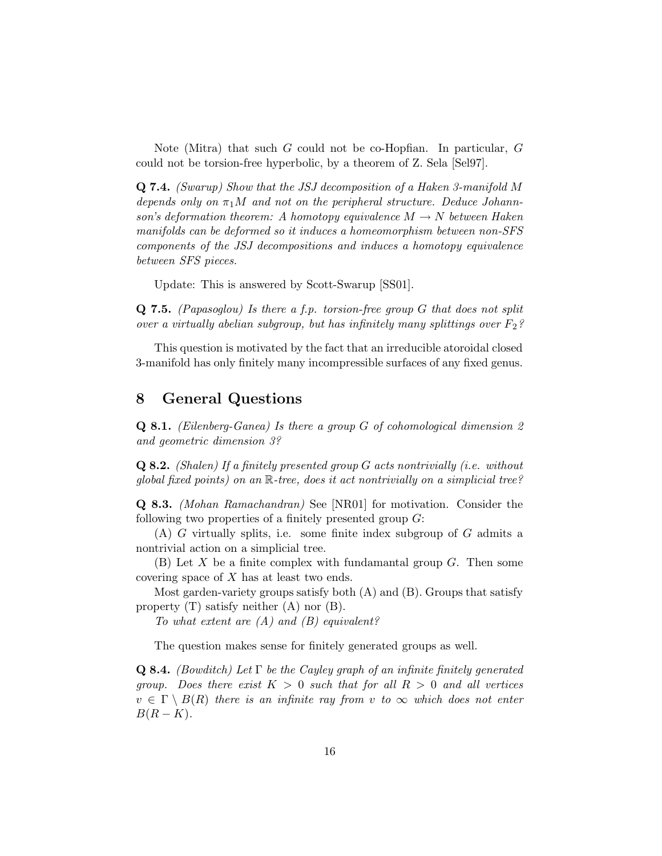Note (Mitra) that such G could not be co-Hopfian. In particular, G could not be torsion-free hyperbolic, by a theorem of Z. Sela [Sel97].

Q 7.4. (Swarup) Show that the JSJ decomposition of a Haken 3-manifold M depends only on  $\pi_1 M$  and not on the peripheral structure. Deduce Johannson's deformation theorem: A homotopy equivalence  $M \to N$  between Haken manifolds can be deformed so it induces a homeomorphism between non-SFS components of the JSJ decompositions and induces a homotopy equivalence between SFS pieces.

Update: This is answered by Scott-Swarup [SS01].

**Q 7.5.** (Papasoglou) Is there a f.p. torsion-free group  $G$  that does not split over a virtually abelian subgroup, but has infinitely many splittings over  $F_2$ ?

This question is motivated by the fact that an irreducible atoroidal closed 3-manifold has only finitely many incompressible surfaces of any fixed genus.

# 8 General Questions

Q 8.1. (Eilenberg-Ganea) Is there a group G of cohomological dimension 2 and geometric dimension 3?

Q 8.2. (Shalen) If a finitely presented group G acts nontrivially (i.e. without global fixed points) on an R-tree, does it act nontrivially on a simplicial tree?

Q 8.3. (Mohan Ramachandran) See [NR01] for motivation. Consider the following two properties of a finitely presented group  $G$ :

 $(A)$  G virtually splits, i.e. some finite index subgroup of G admits a nontrivial action on a simplicial tree.

 $(B)$  Let X be a finite complex with fundamantal group G. Then some covering space of X has at least two ends.

Most garden-variety groups satisfy both  $(A)$  and  $(B)$ . Groups that satisfy property  $(T)$  satisfy neither  $(A)$  nor  $(B)$ .

To what extent are  $(A)$  and  $(B)$  equivalent?

The question makes sense for finitely generated groups as well.

**Q 8.4.** (Bowditch) Let  $\Gamma$  be the Cayley graph of an infinite finitely generated group. Does there exist  $K > 0$  such that for all  $R > 0$  and all vertices  $v \in \Gamma \setminus B(R)$  there is an infinite ray from v to  $\infty$  which does not enter  $B(R - K)$ .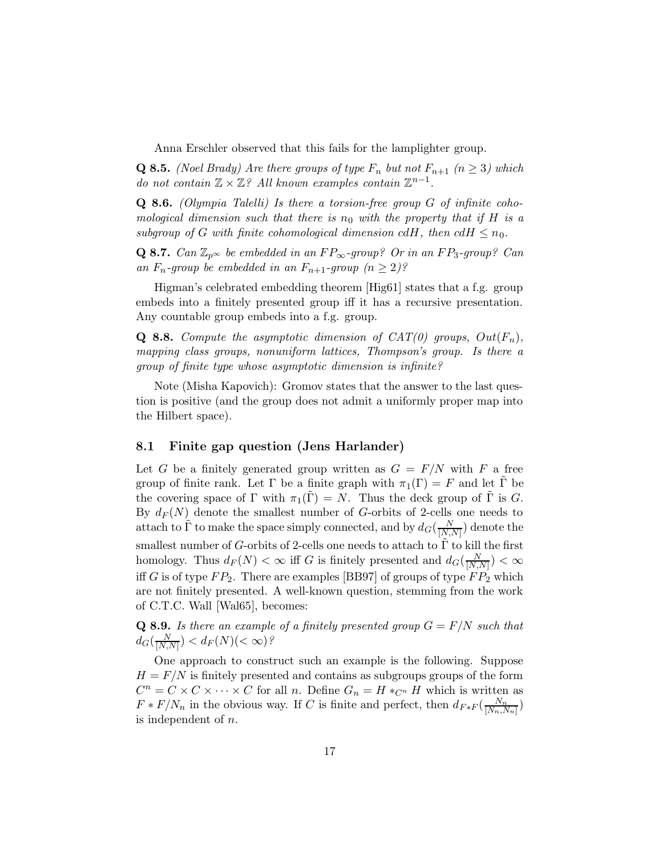Anna Erschler observed that this fails for the lamplighter group.

**Q 8.5.** (Noel Brady) Are there groups of type  $F_n$  but not  $F_{n+1}$   $(n \geq 3)$  which do not contain  $\mathbb{Z} \times \mathbb{Z}$ ? All known examples contain  $\mathbb{Z}^{n-1}$ .

**Q 8.6.** (Olympia Talelli) Is there a torsion-free group  $G$  of infinite cohomological dimension such that there is  $n_0$  with the property that if H is a subgroup of G with finite cohomological dimension cdH, then  $cdH \leq n_0$ .

Q 8.7. Can  $\mathbb{Z}_{p^{\infty}}$  be embedded in an  $FP_{\infty}$ -group? Or in an  $FP_3$ -group? Can an  $F_n$ -group be embedded in an  $F_{n+1}$ -group  $(n \geq 2)$ ?

Higman's celebrated embedding theorem [Hig61] states that a f.g. group embeds into a finitely presented group iff it has a recursive presentation. Any countable group embeds into a f.g. group.

**Q 8.8.** Compute the asymptotic dimension of  $CAT(0)$  groups,  $Out(F_n)$ , mapping class groups, nonuniform lattices, Thompson's group. Is there a group of finite type whose asymptotic dimension is infinite?

Note (Misha Kapovich): Gromov states that the answer to the last question is positive (and the group does not admit a uniformly proper map into the Hilbert space).

#### 8.1 Finite gap question (Jens Harlander)

Let G be a finitely generated group written as  $G = F/N$  with F a free group of finite rank. Let  $\Gamma$  be a finite graph with  $\pi_1(\Gamma) = F$  and let  $\tilde{\Gamma}$  be the covering space of  $\Gamma$  with  $\pi_1(\Gamma) = N$ . Thus the deck group of  $\Gamma$  is G. By  $d_F(N)$  denote the smallest number of G-orbits of 2-cells one needs to attach to  $\tilde{\Gamma}$  to make the space simply connected, and by  $d_G(\frac{N}{|N|})$  $\frac{N}{[N,N]}$  denote the smallest number of G-orbits of 2-cells one needs to attach to  $\Gamma$  to kill the first homology. Thus  $d_F(N) < \infty$  iff G is finitely presented and  $d_G(\frac{N}{|N|})$  $\frac{N}{[N,N]}$ )  $<\infty$ iff G is of type  $FP_2$ . There are examples [BB97] of groups of type  $FP_2$  which are not finitely presented. A well-known question, stemming from the work of C.T.C. Wall [Wal65], becomes:

**Q 8.9.** Is there an example of a finitely presented group  $G = F/N$  such that  $d_G(\frac{N}{\lceil N \rceil})$  $\frac{N}{[N,N]}$ ) <  $d_F(N)$ (<  $\infty$ )?

One approach to construct such an example is the following. Suppose  $H = F/N$  is finitely presented and contains as subgroups groups of the form  $C^n = C \times C \times \cdots \times C$  for all *n*. Define  $G_n = H *_{C^n} H$  which is written as  $F * F/N_n$  in the obvious way. If C is finite and perfect, then  $d_{F * F}(\frac{N_n}{|N_n|})$  $\frac{N_n}{[N_n,N_n]}$ is independent of n.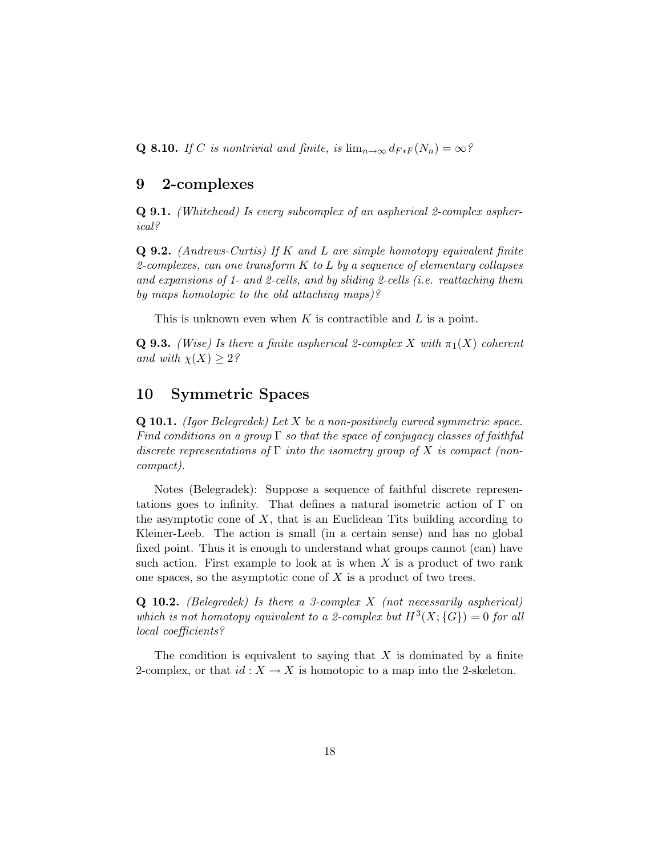Q 8.10. If C is nontrivial and finite, is  $\lim_{n\to\infty} d_{F*F}(N_n) = \infty$ ?

### 9 2-complexes

Q 9.1. (Whitehead) Is every subcomplex of an aspherical 2-complex aspherical?

Q 9.2. (Andrews-Curtis) If K and L are simple homotopy equivalent finite 2-complexes, can one transform  $K$  to  $L$  by a sequence of elementary collapses and expansions of 1- and 2-cells, and by sliding 2-cells (i.e. reattaching them by maps homotopic to the old attaching maps)?

This is unknown even when K is contractible and L is a point.

**Q 9.3.** (Wise) Is there a finite aspherical 2-complex X with  $\pi_1(X)$  coherent and with  $\chi(X) \geq 2$ ?

### 10 Symmetric Spaces

**Q 10.1.** (Igor Belegredek) Let  $X$  be a non-positively curved symmetric space. Find conditions on a group  $\Gamma$  so that the space of conjugacy classes of faithful discrete representations of  $\Gamma$  into the isometry group of X is compact (noncompact).

Notes (Belegradek): Suppose a sequence of faithful discrete representations goes to infinity. That defines a natural isometric action of Γ on the asymptotic cone of  $X$ , that is an Euclidean Tits building according to Kleiner-Leeb. The action is small (in a certain sense) and has no global fixed point. Thus it is enough to understand what groups cannot (can) have such action. First example to look at is when  $X$  is a product of two rank one spaces, so the asymptotic cone of  $X$  is a product of two trees.

**Q 10.2.** (Belegredek) Is there a 3-complex  $X$  (not necessarily aspherical) which is not homotopy equivalent to a 2-complex but  $H^3(X; {\G}) = 0$  for all local coefficients?

The condition is equivalent to saying that  $X$  is dominated by a finite 2-complex, or that  $id: X \to X$  is homotopic to a map into the 2-skeleton.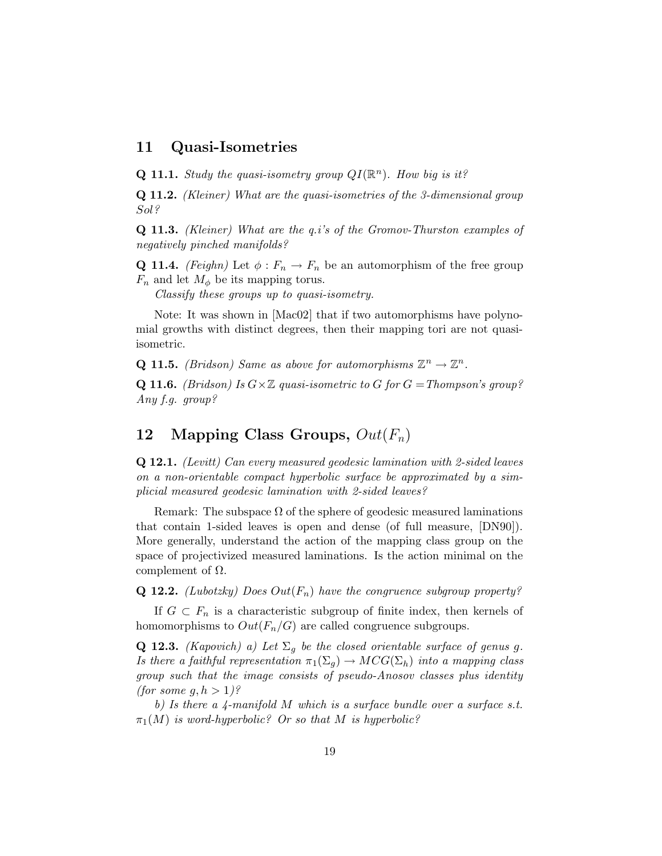### 11 Quasi-Isometries

**Q 11.1.** Study the quasi-isometry group  $QI(\mathbb{R}^n)$ . How big is it?

Q 11.2. (Kleiner) What are the quasi-isometries of the 3-dimensional group Sol?

Q 11.3. (Kleiner) What are the q.i's of the Gromov-Thurston examples of negatively pinched manifolds?

**Q 11.4.** (Feighn) Let  $\phi: F_n \to F_n$  be an automorphism of the free group  $F_n$  and let  $M_\phi$  be its mapping torus.

Classify these groups up to quasi-isometry.

Note: It was shown in [Mac02] that if two automorphisms have polynomial growths with distinct degrees, then their mapping tori are not quasiisometric.

**Q 11.5.** (Bridson) Same as above for automorphisms  $\mathbb{Z}^n \to \mathbb{Z}^n$ .

**Q 11.6.** (Bridson) Is  $G \times \mathbb{Z}$  quasi-isometric to G for  $G = Thompson's$  group? Any f.g. group?

## 12 Mapping Class Groups,  $Out(F_n)$

Q 12.1. (Levitt) Can every measured geodesic lamination with 2-sided leaves on a non-orientable compact hyperbolic surface be approximated by a simplicial measured geodesic lamination with 2-sided leaves?

Remark: The subspace  $\Omega$  of the sphere of geodesic measured laminations that contain 1-sided leaves is open and dense (of full measure, [DN90]). More generally, understand the action of the mapping class group on the space of projectivized measured laminations. Is the action minimal on the complement of Ω.

**Q 12.2.** (Lubotzky) Does  $Out(F_n)$  have the congruence subgroup property?

If  $G \subset F_n$  is a characteristic subgroup of finite index, then kernels of homomorphisms to  $Out(F_n/G)$  are called congruence subgroups.

**Q 12.3.** (Kapovich) a) Let  $\Sigma_q$  be the closed orientable surface of genus g. Is there a faithful representation  $\pi_1(\Sigma_g) \to MCG(\Sigma_h)$  into a mapping class group such that the image consists of pseudo-Anosov classes plus identity *(for some g, h > 1)?* 

b) Is there a  $\mu$ -manifold M which is a surface bundle over a surface s.t.  $\pi_1(M)$  is word-hyperbolic? Or so that M is hyperbolic?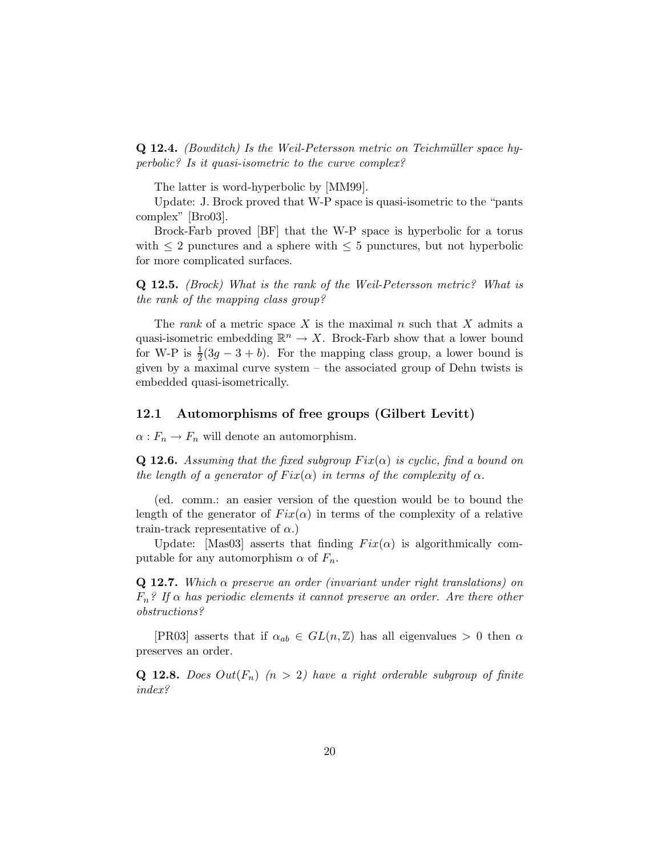**Q 12.4.** (Bowditch) Is the Weil-Petersson metric on Teichmüller space hyperbolic? Is it quasi-isometric to the curve complex?

The latter is word-hyperbolic by [MM99].

Update: J. Brock proved that W-P space is quasi-isometric to the "pants complex" [Bro03].

Brock-Farb proved [BF] that the W-P space is hyperbolic for a torus with  $\leq 2$  punctures and a sphere with  $\leq 5$  punctures, but not hyperbolic for more complicated surfaces.

Q 12.5. (Brock) What is the rank of the Weil-Petersson metric? What is the rank of the mapping class group?

The *rank* of a metric space X is the maximal n such that X admits a quasi-isometric embedding  $\mathbb{R}^n \to X$ . Brock-Farb show that a lower bound for W-P is  $\frac{1}{2}(3g - 3 + b)$ . For the mapping class group, a lower bound is given by a maximal curve system – the associated group of Dehn twists is embedded quasi-isometrically.

#### 12.1 Automorphisms of free groups (Gilbert Levitt)

 $\alpha: F_n \to F_n$  will denote an automorphism.

**Q 12.6.** Assuming that the fixed subgroup  $Fix(\alpha)$  is cyclic, find a bound on the length of a generator of  $Fix(\alpha)$  in terms of the complexity of  $\alpha$ .

(ed. comm.: an easier version of the question would be to bound the length of the generator of  $Fix(\alpha)$  in terms of the complexity of a relative train-track representative of  $\alpha$ .)

Update: [Mas03] asserts that finding  $Fix(\alpha)$  is algorithmically computable for any automorphism  $\alpha$  of  $F_n$ .

**Q 12.7.** Which  $\alpha$  preserve an order (invariant under right translations) on  $F_n$ ? If  $\alpha$  has periodic elements it cannot preserve an order. Are there other obstructions?

[PR03] asserts that if  $\alpha_{ab} \in GL(n, \mathbb{Z})$  has all eigenvalues > 0 then  $\alpha$ preserves an order.

**Q 12.8.** Does  $Out(F_n)$   $(n > 2)$  have a right orderable subgroup of finite index?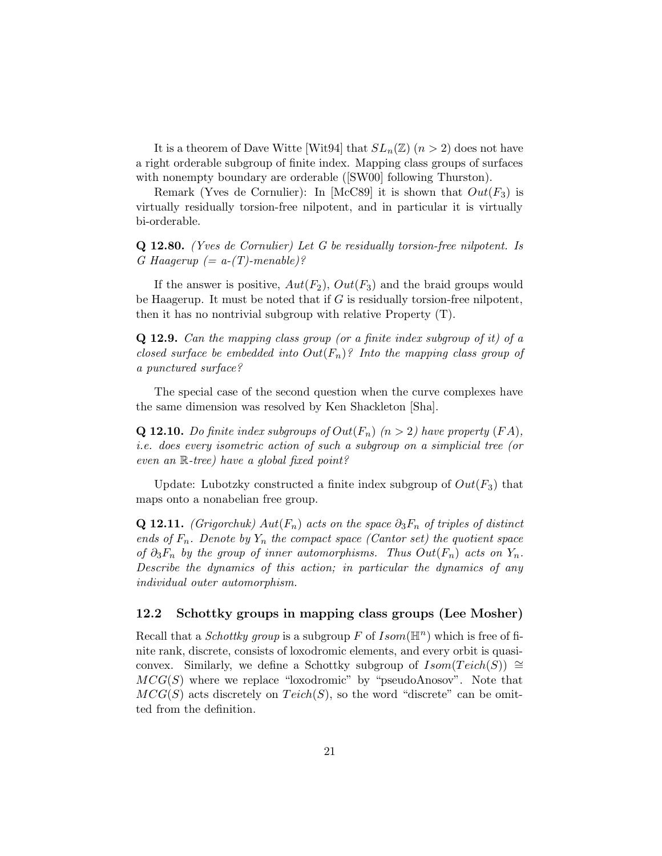It is a theorem of Dave Witte [Wit94] that  $SL_n(\mathbb{Z})$  ( $n > 2$ ) does not have a right orderable subgroup of finite index. Mapping class groups of surfaces with nonempty boundary are orderable ([SW00] following Thurston).

Remark (Yves de Cornulier): In [McC89] it is shown that  $Out(F_3)$  is virtually residually torsion-free nilpotent, and in particular it is virtually bi-orderable.

Q 12.80. (Yves de Cornulier) Let G be residually torsion-free nilpotent. Is G Haagerup  $(= a-(T)$ -menable)?

If the answer is positive,  $Aut(F_2)$ ,  $Out(F_3)$  and the braid groups would be Haagerup. It must be noted that if  $G$  is residually torsion-free nilpotent, then it has no nontrivial subgroup with relative Property (T).

Q 12.9. Can the mapping class group (or a finite index subgroup of it) of a closed surface be embedded into  $Out(F_n)$ ? Into the mapping class group of a punctured surface?

The special case of the second question when the curve complexes have the same dimension was resolved by Ken Shackleton [Sha].

**Q 12.10.** Do finite index subgroups of  $Out(F_n)$   $(n > 2)$  have property  $(FA)$ , i.e. does every isometric action of such a subgroup on a simplicial tree (or even an R-tree) have a global fixed point?

Update: Lubotzky constructed a finite index subgroup of  $Out(F_3)$  that maps onto a nonabelian free group.

Q 12.11. (Grigorchuk)  $Aut(F_n)$  acts on the space  $\partial_3 F_n$  of triples of distinct ends of  $F_n$ . Denote by  $Y_n$  the compact space (Cantor set) the quotient space of  $\partial_3 F_n$  by the group of inner automorphisms. Thus  $Out(F_n)$  acts on  $Y_n$ . Describe the dynamics of this action; in particular the dynamics of any individual outer automorphism.

#### 12.2 Schottky groups in mapping class groups (Lee Mosher)

Recall that a *Schottky group* is a subgroup F of  $Isom(\mathbb{H}^n)$  which is free of finite rank, discrete, consists of loxodromic elements, and every orbit is quasiconvex. Similarly, we define a Schottky subgroup of  $Isom(Teich(S)) \cong$  $MCG(S)$  where we replace "loxodromic" by "pseudoAnosov". Note that  $MCG(S)$  acts discretely on  $Teich(S)$ , so the word "discrete" can be omitted from the definition.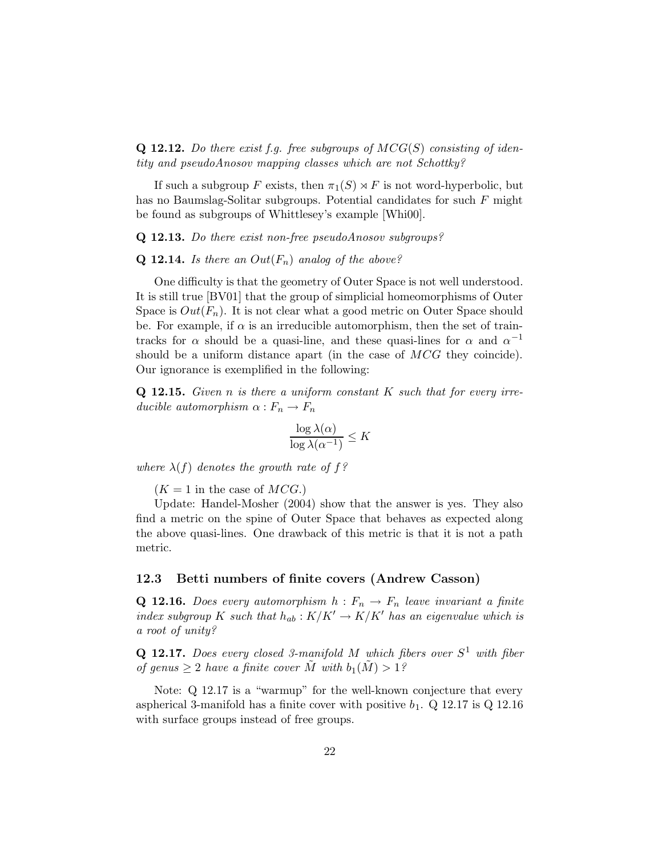**Q 12.12.** Do there exist f.g. free subgroups of  $MCG(S)$  consisting of identity and pseudoAnosov mapping classes which are not Schottky?

If such a subgroup F exists, then  $\pi_1(S) \rtimes F$  is not word-hyperbolic, but has no Baumslag-Solitar subgroups. Potential candidates for such F might be found as subgroups of Whittlesey's example [Whi00].

#### Q 12.13. Do there exist non-free pseudoAnosov subgroups?

#### **Q 12.14.** Is there an  $Out(F_n)$  analog of the above?

One difficulty is that the geometry of Outer Space is not well understood. It is still true [BV01] that the group of simplicial homeomorphisms of Outer Space is  $Out(F_n)$ . It is not clear what a good metric on Outer Space should be. For example, if  $\alpha$  is an irreducible automorphism, then the set of traintracks for  $\alpha$  should be a quasi-line, and these quasi-lines for  $\alpha$  and  $\alpha^{-1}$ should be a uniform distance apart (in the case of  $MCG$  they coincide). Our ignorance is exemplified in the following:

**Q 12.15.** Given n is there a uniform constant  $K$  such that for every irreducible automorphism  $\alpha : F_n \to F_n$ 

$$
\frac{\log \lambda(\alpha)}{\log \lambda(\alpha^{-1})} \le K
$$

where  $\lambda(f)$  denotes the growth rate of f?

 $(K = 1$  in the case of  $MCG$ .)

Update: Handel-Mosher (2004) show that the answer is yes. They also find a metric on the spine of Outer Space that behaves as expected along the above quasi-lines. One drawback of this metric is that it is not a path metric.

#### 12.3 Betti numbers of finite covers (Andrew Casson)

**Q 12.16.** Does every automorphism  $h : F_n \to F_n$  leave invariant a finite index subgroup K such that  $h_{ab}: K/K' \to K/K'$  has an eigenvalue which is a root of unity?

**Q 12.17.** Does every closed 3-manifold M which fibers over  $S^1$  with fiber of genus  $\geq 2$  have a finite cover  $\tilde{M}$  with  $b_1(\tilde{M}) > 1$ ?

Note: Q 12.17 is a "warmup" for the well-known conjecture that every aspherical 3-manifold has a finite cover with positive  $b_1$ . Q 12.17 is Q 12.16 with surface groups instead of free groups.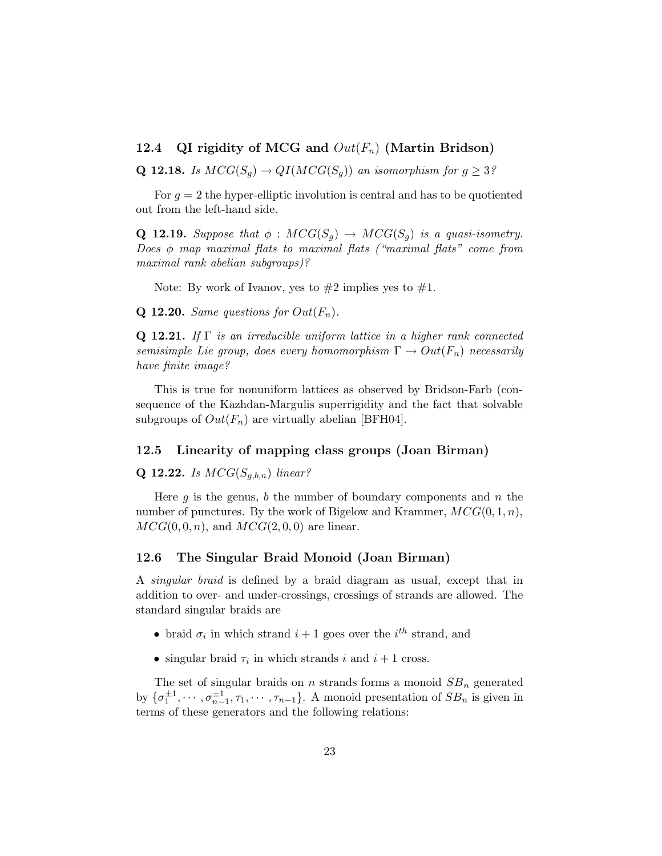#### 12.4 QI rigidity of MCG and  $Out(F_n)$  (Martin Bridson)

**Q 12.18.** Is  $MCG(S_q) \rightarrow QI(MCG(S_q))$  an isomorphism for  $q \geq 3$ ?

For  $g = 2$  the hyper-elliptic involution is central and has to be quotiented out from the left-hand side.

**Q 12.19.** Suppose that  $\phi : MCG(S_q) \rightarrow MCG(S_q)$  is a quasi-isometry. Does  $\phi$  map maximal flats to maximal flats ("maximal flats" come from maximal rank abelian subgroups)?

Note: By work of Ivanov, yes to  $#2$  implies yes to  $#1$ .

**Q 12.20.** Same questions for  $Out(F_n)$ .

**Q 12.21.** If  $\Gamma$  is an irreducible uniform lattice in a higher rank connected semisimple Lie group, does every homomorphism  $\Gamma \to Out(F_n)$  necessarily have finite image?

This is true for nonuniform lattices as observed by Bridson-Farb (consequence of the Kazhdan-Margulis superrigidity and the fact that solvable subgroups of  $Out(F_n)$  are virtually abelian [BFH04].

#### 12.5 Linearity of mapping class groups (Joan Birman)

#### **Q 12.22.** Is  $MCG(S_{g,b,n})$  linear?

Here g is the genus, b the number of boundary components and n the number of punctures. By the work of Bigelow and Krammer,  $MCG(0, 1, n)$ ,  $MCG(0,0,n)$ , and  $MCG(2,0,0)$  are linear.

#### 12.6 The Singular Braid Monoid (Joan Birman)

A singular braid is defined by a braid diagram as usual, except that in addition to over- and under-crossings, crossings of strands are allowed. The standard singular braids are

- braid  $\sigma_i$  in which strand  $i+1$  goes over the  $i^{th}$  strand, and
- singular braid  $\tau_i$  in which strands i and  $i+1$  cross.

The set of singular braids on n strands forms a monoid  $SB_n$  generated by  $\{\sigma_1^{\pm 1}, \cdots, \sigma_{n-1}^{\pm 1}, \tau_1, \cdots, \tau_{n-1}\}$ . A monoid presentation of  $SB_n$  is given in terms of these generators and the following relations: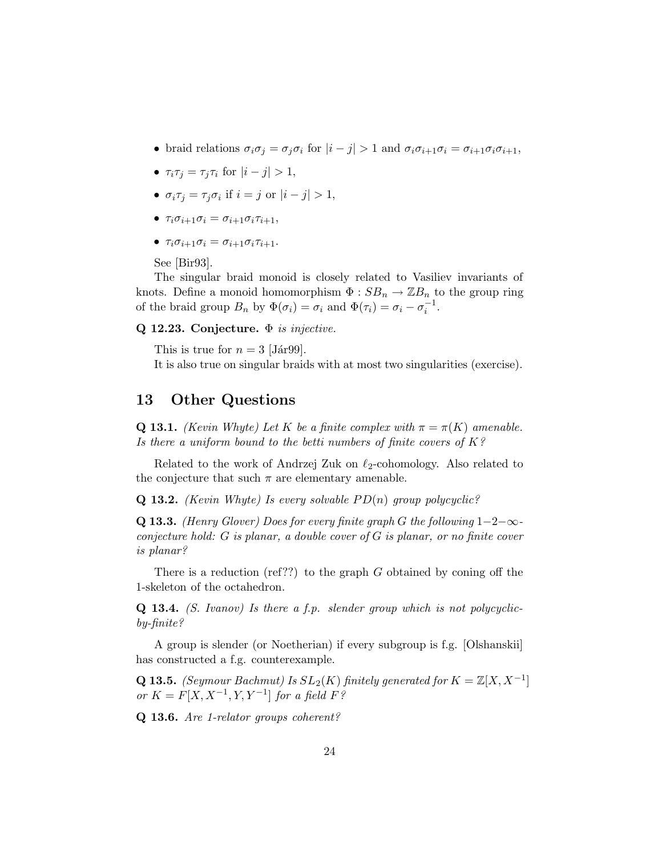- braid relations  $\sigma_i \sigma_j = \sigma_j \sigma_i$  for  $|i j| > 1$  and  $\sigma_i \sigma_{i+1} \sigma_i = \sigma_{i+1} \sigma_i \sigma_{i+1}$ ,
- $\tau_i \tau_j = \tau_j \tau_i$  for  $|i j| > 1$ ,
- $\sigma_i \tau_j = \tau_j \sigma_i$  if  $i = j$  or  $|i j| > 1$ ,
- $\tau_i \sigma_{i+1} \sigma_i = \sigma_{i+1} \sigma_i \tau_{i+1},$
- $\tau_i \sigma_{i+1} \sigma_i = \sigma_{i+1} \sigma_i \tau_{i+1}$ .

See [Bir93].

The singular braid monoid is closely related to Vasiliev invariants of knots. Define a monoid homomorphism  $\Phi : SB_n \to \mathbb{Z}B_n$  to the group ring of the braid group  $B_n$  by  $\Phi(\sigma_i) = \sigma_i$  and  $\Phi(\tau_i) = \sigma_i - \sigma_i^{-1}$ .

Q 12.23. Conjecture.  $\Phi$  is injective.

This is true for  $n = 3$  [Jár99].

It is also true on singular braids with at most two singularities (exercise).

### 13 Other Questions

**Q 13.1.** (Kevin Whyte) Let K be a finite complex with  $\pi = \pi(K)$  amenable. Is there a uniform bound to the betti numbers of finite covers of  $K$ ?

Related to the work of Andrzej Zuk on  $\ell_2$ -cohomology. Also related to the conjecture that such  $\pi$  are elementary amenable.

**Q 13.2.** (Kevin Whyte) Is every solvable  $PD(n)$  group polycyclic?

Q 13.3. (Henry Glover) Does for every finite graph G the following  $1-2-\infty$ conjecture hold: G is planar, a double cover of G is planar, or no finite cover is planar?

There is a reduction (ref??) to the graph  $G$  obtained by coning off the 1-skeleton of the octahedron.

 $Q$  13.4. (S. Ivanov) Is there a f.p. slender group which is not polycyclicby-finite?

A group is slender (or Noetherian) if every subgroup is f.g. [Olshanskii] has constructed a f.g. counterexample.

**Q 13.5.** (Seymour Bachmut) Is  $SL_2(K)$  finitely generated for  $K = \mathbb{Z}[X, X^{-1}]$ or  $K = F[X, X^{-1}, Y, Y^{-1}]$  for a field  $F^{\circ}$ 

Q 13.6. Are 1-relator groups coherent?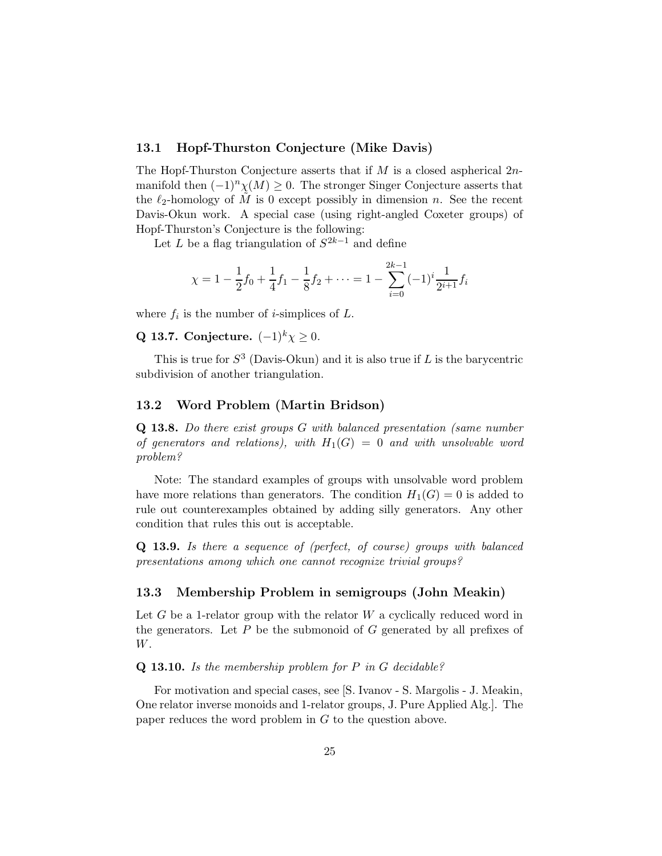#### 13.1 Hopf-Thurston Conjecture (Mike Davis)

The Hopf-Thurston Conjecture asserts that if  $M$  is a closed aspherical  $2n$ manifold then  $(-1)^n \chi(M) \geq 0$ . The stronger Singer Conjecture asserts that the  $\ell_2$ -homology of M is 0 except possibly in dimension n. See the recent Davis-Okun work. A special case (using right-angled Coxeter groups) of Hopf-Thurston's Conjecture is the following:

Let L be a flag triangulation of  $S^{2k-1}$  and define

$$
\chi = 1 - \frac{1}{2}f_0 + \frac{1}{4}f_1 - \frac{1}{8}f_2 + \dots = 1 - \sum_{i=0}^{2k-1} (-1)^i \frac{1}{2^{i+1}} f_i
$$

where  $f_i$  is the number of *i*-simplices of  $L$ .

Q 13.7. Conjecture.  $(-1)^k \chi \geq 0$ .

This is true for  $S^3$  (Davis-Okun) and it is also true if L is the barycentric subdivision of another triangulation.

#### 13.2 Word Problem (Martin Bridson)

Q 13.8. Do there exist groups G with balanced presentation (same number of generators and relations), with  $H_1(G) = 0$  and with unsolvable word problem?

Note: The standard examples of groups with unsolvable word problem have more relations than generators. The condition  $H_1(G) = 0$  is added to rule out counterexamples obtained by adding silly generators. Any other condition that rules this out is acceptable.

Q 13.9. Is there a sequence of (perfect, of course) groups with balanced presentations among which one cannot recognize trivial groups?

#### 13.3 Membership Problem in semigroups (John Meakin)

Let G be a 1-relator group with the relator  $W$  a cyclically reduced word in the generators. Let  $P$  be the submonoid of  $G$  generated by all prefixes of W.

Q 13.10. Is the membership problem for P in G decidable?

For motivation and special cases, see [S. Ivanov - S. Margolis - J. Meakin, One relator inverse monoids and 1-relator groups, J. Pure Applied Alg.]. The paper reduces the word problem in G to the question above.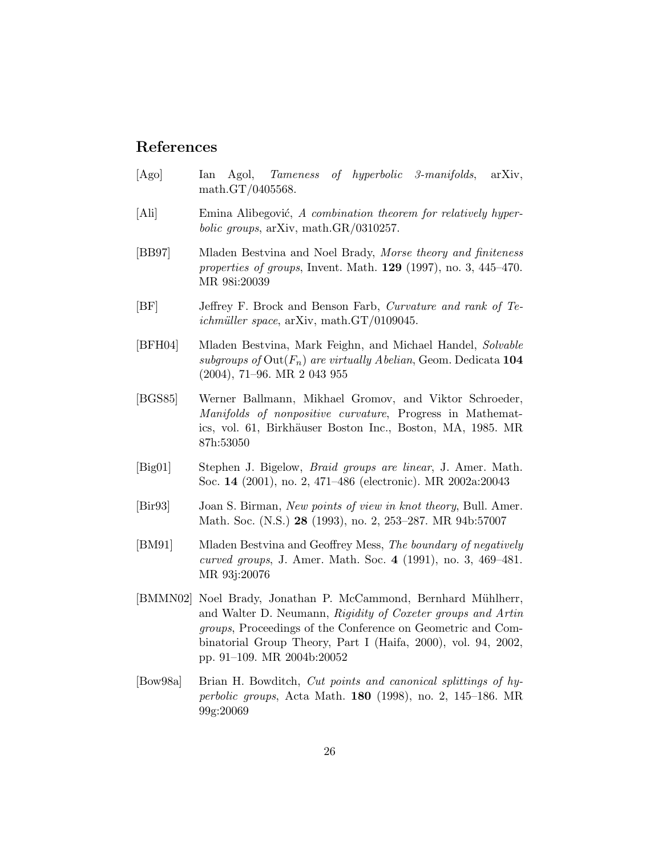### References

- [Ago] Ian Agol, Tameness of hyperbolic 3-manifolds, arXiv, math.GT/0405568.
- [Ali] Emina Alibegović, A combination theorem for relatively hyperbolic groups, arXiv, math.GR/0310257.
- [BB97] Mladen Bestvina and Noel Brady, Morse theory and finiteness properties of groups, Invent. Math.  $129$  (1997), no. 3, 445–470. MR 98i:20039
- [BF] Jeffrey F. Brock and Benson Farb, Curvature and rank of Te $ichmüller space, arXiv, math.GT/0109045.$
- [BFH04] Mladen Bestvina, Mark Feighn, and Michael Handel, Solvable subgroups of  $\text{Out}(F_n)$  are virtually Abelian, Geom. Dedicata 104 (2004), 71–96. MR 2 043 955
- [BGS85] Werner Ballmann, Mikhael Gromov, and Viktor Schroeder, Manifolds of nonpositive curvature, Progress in Mathematics, vol. 61, Birkhäuser Boston Inc., Boston, MA, 1985. MR 87h:53050
- [Big01] Stephen J. Bigelow, Braid groups are linear, J. Amer. Math. Soc. 14 (2001), no. 2, 471–486 (electronic). MR 2002a:20043
- [Bir93] Joan S. Birman, New points of view in knot theory, Bull. Amer. Math. Soc. (N.S.) 28 (1993), no. 2, 253–287. MR 94b:57007
- [BM91] Mladen Bestvina and Geoffrey Mess, The boundary of negatively curved groups, J. Amer. Math. Soc. 4 (1991), no. 3, 469–481. MR 93j:20076
- [BMMN02] Noel Brady, Jonathan P. McCammond, Bernhard Mühlherr, and Walter D. Neumann, Rigidity of Coxeter groups and Artin groups, Proceedings of the Conference on Geometric and Combinatorial Group Theory, Part I (Haifa, 2000), vol. 94, 2002, pp. 91–109. MR 2004b:20052
- [Bow98a] Brian H. Bowditch, Cut points and canonical splittings of hyperbolic groups, Acta Math. 180 (1998), no. 2, 145–186. MR 99g:20069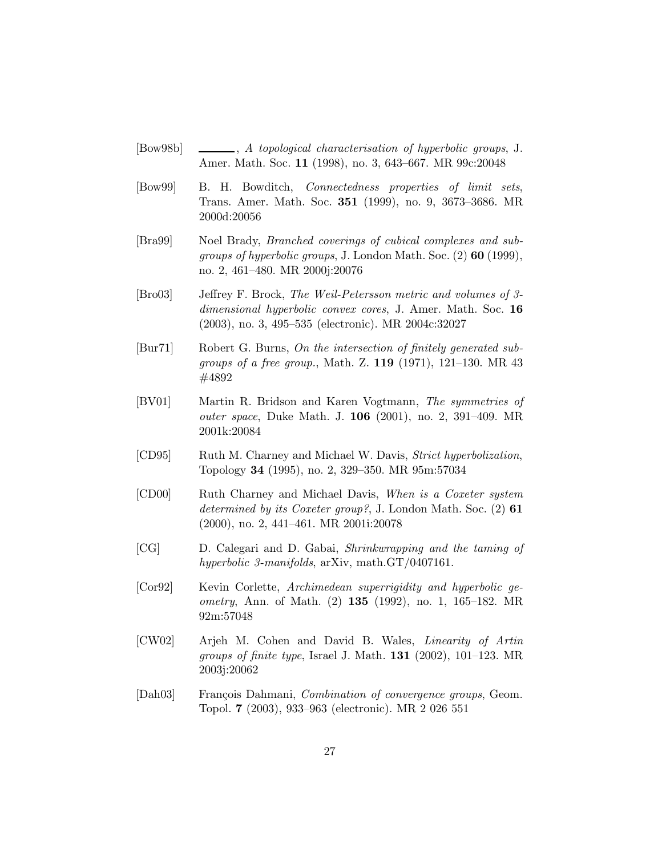- [Bow98b]  $\qquad \qquad \qquad$ , A topological characterisation of hyperbolic groups, J. Amer. Math. Soc. 11 (1998), no. 3, 643–667. MR 99c:20048
- [Bow99] B. H. Bowditch, Connectedness properties of limit sets, Trans. Amer. Math. Soc. 351 (1999), no. 9, 3673–3686. MR 2000d:20056
- [Bra99] Noel Brady, Branched coverings of cubical complexes and subgroups of hyperbolic groups, J. London Math. Soc. (2) 60 (1999), no. 2, 461–480. MR 2000j:20076
- [Bro03] Jeffrey F. Brock, The Weil-Petersson metric and volumes of 3 dimensional hyperbolic convex cores, J. Amer. Math. Soc. 16 (2003), no. 3, 495–535 (electronic). MR 2004c:32027
- [Bur71] Robert G. Burns, On the intersection of finitely generated subgroups of a free group., Math. Z. 119 (1971), 121–130. MR 43 #4892
- [BV01] Martin R. Bridson and Karen Vogtmann, The symmetries of outer space, Duke Math. J. 106 (2001), no. 2, 391–409. MR 2001k:20084
- [CD95] Ruth M. Charney and Michael W. Davis, Strict hyperbolization, Topology 34 (1995), no. 2, 329–350. MR 95m:57034
- [CD00] Ruth Charney and Michael Davis, When is a Coxeter system determined by its Coxeter group?, J. London Math. Soc.  $(2)$  61 (2000), no. 2, 441–461. MR 2001i:20078
- [CG] D. Calegari and D. Gabai, Shrinkwrapping and the taming of hyperbolic 3-manifolds, arXiv, math.GT/0407161.
- [Cor92] Kevin Corlette, Archimedean superrigidity and hyperbolic geometry, Ann. of Math. (2) 135 (1992), no. 1, 165–182. MR 92m:57048
- [CW02] Arjeh M. Cohen and David B. Wales, Linearity of Artin *groups of finite type*, Israel J. Math.  $131$  (2002), 101–123. MR 2003j:20062
- [Dah03] François Dahmani, Combination of convergence groups, Geom. Topol. 7 (2003), 933–963 (electronic). MR 2 026 551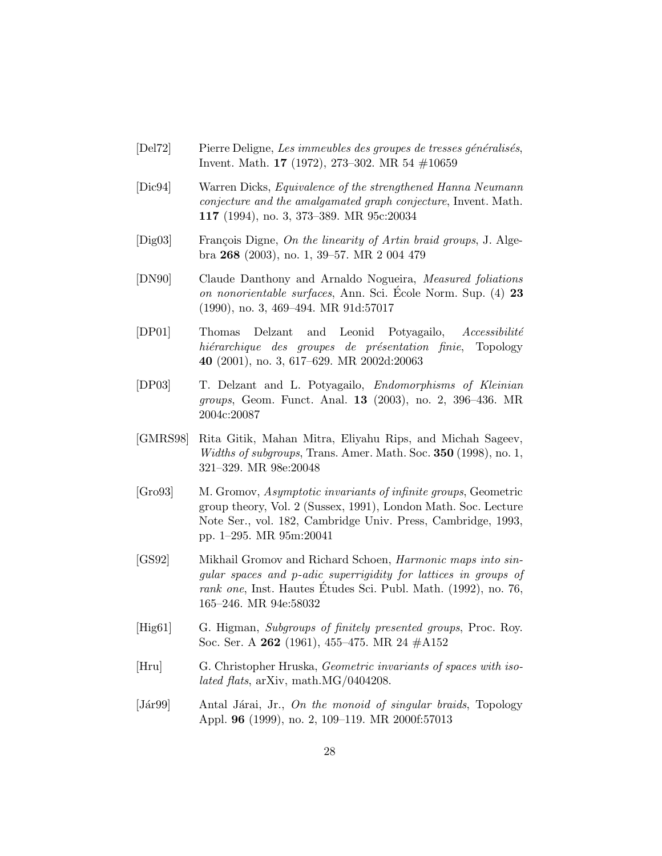- [Del72] Pierre Deligne, Les immeubles des groupes de tresses généralisés, Invent. Math. 17 (1972), 273–302. MR 54 #10659
- [Dic94] Warren Dicks, Equivalence of the strengthened Hanna Neumann conjecture and the amalgamated graph conjecture, Invent. Math. 117 (1994), no. 3, 373–389. MR 95c:20034
- [Dig03] François Digne, On the linearity of Artin braid groups, J. Algebra 268 (2003), no. 1, 39–57. MR 2 004 479
- [DN90] Claude Danthony and Arnaldo Nogueira, Measured foliations on nonorientable surfaces, Ann. Sci. Ecole Norm. Sup. (4) 23 (1990), no. 3, 469–494. MR 91d:57017
- $[DP01]$  Thomas Delzant and Leonid Potyagailo, Accessibilité hiérarchique des groupes de présentation finie, Topology 40 (2001), no. 3, 617–629. MR 2002d:20063
- [DP03] T. Delzant and L. Potyagailo, Endomorphisms of Kleinian groups, Geom. Funct. Anal. 13 (2003), no. 2, 396–436. MR 2004c:20087
- [GMRS98] Rita Gitik, Mahan Mitra, Eliyahu Rips, and Michah Sageev, Widths of subgroups, Trans. Amer. Math. Soc. **350** (1998), no. 1, 321–329. MR 98e:20048
- [Gro93] M. Gromov, Asymptotic invariants of infinite groups, Geometric group theory, Vol. 2 (Sussex, 1991), London Math. Soc. Lecture Note Ser., vol. 182, Cambridge Univ. Press, Cambridge, 1993, pp. 1–295. MR 95m:20041
- [GS92] Mikhail Gromov and Richard Schoen, Harmonic maps into singular spaces and p-adic superrigidity for lattices in groups of rank one, Inst. Hautes Études Sci. Publ. Math.  $(1992)$ , no. 76, 165–246. MR 94e:58032
- [Hig61] G. Higman, Subgroups of finitely presented groups, Proc. Roy. Soc. Ser. A 262 (1961), 455–475. MR 24 #A152
- [Hru] G. Christopher Hruska, Geometric invariants of spaces with isolated flats, arXiv, math.MG/0404208.
- [Jár99] Antal Járai, Jr., On the monoid of singular braids, Topology Appl. 96 (1999), no. 2, 109–119. MR 2000f:57013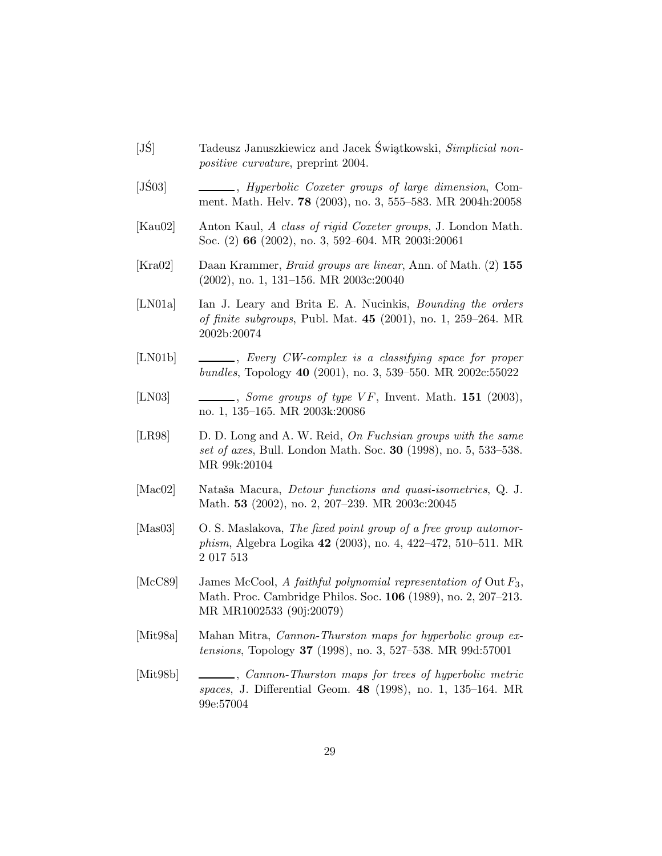- [JS] Tadeusz Januszkiewicz and Jacek Świątkowski, Simplicial nonpositive curvature, preprint 2004.
- [JS03]  $\qquad \qquad \qquad \qquad$ , *Hyperbolic Coxeter groups of large dimension*, Comment. Math. Helv. 78 (2003), no. 3, 555–583. MR 2004h:20058
- [Kau02] Anton Kaul, A class of rigid Coxeter groups, J. London Math. Soc. (2) 66 (2002), no. 3, 592–604. MR 2003i:20061
- [Kra02] Daan Krammer, Braid groups are linear, Ann. of Math. (2) 155 (2002), no. 1, 131–156. MR 2003c:20040
- [LN01a] Ian J. Leary and Brita E. A. Nucinkis, *Bounding the orders* of finite subgroups, Publ. Mat. 45 (2001), no. 1, 259–264. MR 2002b:20074
- [LN01b] , Every CW-complex is a classifying space for proper bundles, Topology 40 (2001), no. 3, 539–550. MR 2002c:55022
- [LN03]  $\qquad \qquad \qquad$ , Some groups of type VF, Invent. Math. 151 (2003), no. 1, 135–165. MR 2003k:20086
- [LR98] D. D. Long and A. W. Reid, On Fuchsian groups with the same set of axes, Bull. London Math. Soc. 30 (1998), no. 5, 533–538. MR 99k:20104
- [Mac02] Nataša Macura, *Detour functions and quasi-isometries*, Q. J. Math. 53 (2002), no. 2, 207–239. MR 2003c:20045
- [Mas03] O. S. Maslakova, The fixed point group of a free group automorphism, Algebra Logika 42 (2003), no. 4, 422–472, 510–511. MR 2 017 513
- [McC89] James McCool, A faithful polynomial representation of Out  $F_3$ , Math. Proc. Cambridge Philos. Soc. 106 (1989), no. 2, 207–213. MR MR1002533 (90j:20079)
- [Mit98a] Mahan Mitra, Cannon-Thurston maps for hyperbolic group extensions, Topology 37 (1998), no. 3, 527–538. MR 99d:57001
- [Mit98b] , Cannon-Thurston maps for trees of hyperbolic metric spaces, J. Differential Geom. 48 (1998), no. 1, 135–164. MR 99e:57004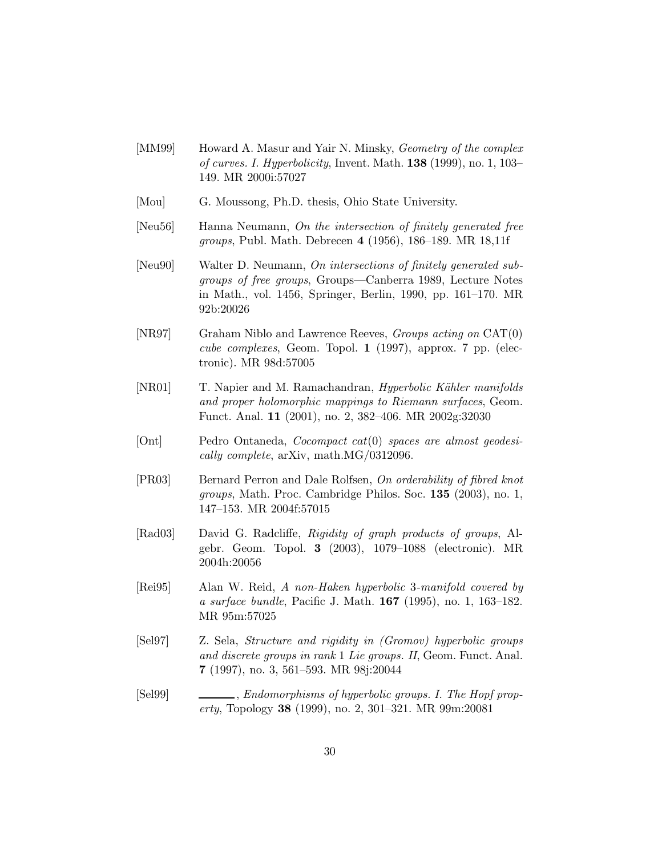- [MM99] Howard A. Masur and Yair N. Minsky, *Geometry of the complex* of curves. I. Hyperbolicity, Invent. Math. 138 (1999), no. 1, 103– 149. MR 2000i:57027
- [Mou] G. Moussong, Ph.D. thesis, Ohio State University.
- [Neu56] Hanna Neumann, On the intersection of finitely generated free groups, Publ. Math. Debrecen 4 (1956), 186–189. MR 18,11f
- [Neu90] Walter D. Neumann, On intersections of finitely generated subgroups of free groups, Groups—Canberra 1989, Lecture Notes in Math., vol. 1456, Springer, Berlin, 1990, pp. 161–170. MR 92b:20026
- [NR97] Graham Niblo and Lawrence Reeves, Groups acting on CAT(0) cube complexes, Geom. Topol. 1 (1997), approx. 7 pp. (electronic). MR 98d:57005
- [NR01] T. Napier and M. Ramachandran, *Hyperbolic Kähler manifolds* and proper holomorphic mappings to Riemann surfaces, Geom. Funct. Anal. 11 (2001), no. 2, 382–406. MR 2002g:32030
- [Ont] Pedro Ontaneda, Cocompact cat(0) spaces are almost geodesically complete, arXiv, math.MG/0312096.
- [PR03] Bernard Perron and Dale Rolfsen, On orderability of fibred knot groups, Math. Proc. Cambridge Philos. Soc. 135 (2003), no. 1, 147–153. MR 2004f:57015
- [Rad03] David G. Radcliffe, Rigidity of graph products of groups, Algebr. Geom. Topol. 3 (2003), 1079–1088 (electronic). MR 2004h:20056
- [Rei95] Alan W. Reid, A non-Haken hyperbolic 3-manifold covered by a surface bundle, Pacific J. Math. 167 (1995), no. 1, 163–182. MR 95m:57025
- [Sel97] Z. Sela, Structure and rigidity in (Gromov) hyperbolic groups and discrete groups in rank 1 Lie groups. II, Geom. Funct. Anal. 7 (1997), no. 3, 561–593. MR 98j:20044
- [Sel99] , Endomorphisms of hyperbolic groups. I. The Hopf property, Topology 38 (1999), no. 2, 301–321. MR 99m:20081